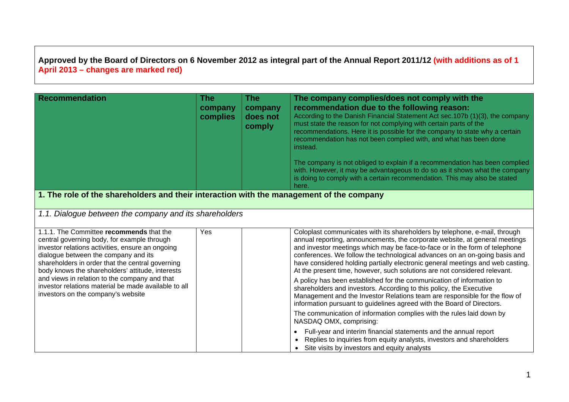## **Approved by the Board of Directors on 6 November 2012 as integral part of the Annual Report 2011/12 (with additions as of 1 April 2013 – changes are marked red)**

| <b>Recommendation</b>                                                                                                                                                                                                                                                                                                                                                                                                                      | <b>The</b><br>company<br>complies | <b>The</b><br>company<br>does not<br>comply | The company complies/does not comply with the<br>recommendation due to the following reason:<br>According to the Danish Financial Statement Act sec. 107b (1)(3), the company<br>must state the reason for not complying with certain parts of the<br>recommendations. Here it is possible for the company to state why a certain<br>recommendation has not been complied with, and what has been done<br>instead.<br>The company is not obliged to explain if a recommendation has been complied<br>with. However, it may be advantageous to do so as it shows what the company<br>is doing to comply with a certain recommendation. This may also be stated<br>here.                                                                                                                                                                                                 |  |  |  |
|--------------------------------------------------------------------------------------------------------------------------------------------------------------------------------------------------------------------------------------------------------------------------------------------------------------------------------------------------------------------------------------------------------------------------------------------|-----------------------------------|---------------------------------------------|------------------------------------------------------------------------------------------------------------------------------------------------------------------------------------------------------------------------------------------------------------------------------------------------------------------------------------------------------------------------------------------------------------------------------------------------------------------------------------------------------------------------------------------------------------------------------------------------------------------------------------------------------------------------------------------------------------------------------------------------------------------------------------------------------------------------------------------------------------------------|--|--|--|
| 1. The role of the shareholders and their interaction with the management of the company                                                                                                                                                                                                                                                                                                                                                   |                                   |                                             |                                                                                                                                                                                                                                                                                                                                                                                                                                                                                                                                                                                                                                                                                                                                                                                                                                                                        |  |  |  |
| 1.1. Dialogue between the company and its shareholders                                                                                                                                                                                                                                                                                                                                                                                     |                                   |                                             |                                                                                                                                                                                                                                                                                                                                                                                                                                                                                                                                                                                                                                                                                                                                                                                                                                                                        |  |  |  |
| 1.1.1. The Committee recommends that the<br>central governing body, for example through<br>investor relations activities, ensure an ongoing<br>dialogue between the company and its<br>shareholders in order that the central governing<br>body knows the shareholders' attitude, interests<br>and views in relation to the company and that<br>investor relations material be made available to all<br>investors on the company's website | Yes                               |                                             | Coloplast communicates with its shareholders by telephone, e-mail, through<br>annual reporting, announcements, the corporate website, at general meetings<br>and investor meetings which may be face-to-face or in the form of telephone<br>conferences. We follow the technological advances on an on-going basis and<br>have considered holding partially electronic general meetings and web casting.<br>At the present time, however, such solutions are not considered relevant.<br>A policy has been established for the communication of information to<br>shareholders and investors. According to this policy, the Executive<br>Management and the Investor Relations team are responsible for the flow of<br>information pursuant to guidelines agreed with the Board of Directors.<br>The communication of information complies with the rules laid down by |  |  |  |
|                                                                                                                                                                                                                                                                                                                                                                                                                                            |                                   |                                             | NASDAQ OMX, comprising:                                                                                                                                                                                                                                                                                                                                                                                                                                                                                                                                                                                                                                                                                                                                                                                                                                                |  |  |  |
|                                                                                                                                                                                                                                                                                                                                                                                                                                            |                                   |                                             | Full-year and interim financial statements and the annual report<br>$\bullet$<br>Replies to inquiries from equity analysts, investors and shareholders<br>$\bullet$<br>Site visits by investors and equity analysts                                                                                                                                                                                                                                                                                                                                                                                                                                                                                                                                                                                                                                                    |  |  |  |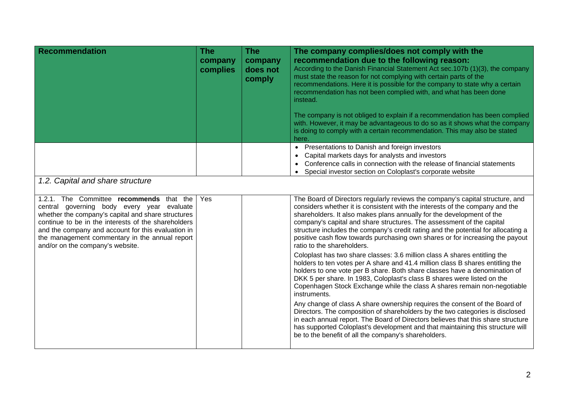| <b>Recommendation</b>                                                                                                                                                                                                                                                                                                                           | <b>The</b><br>company<br>complies | <b>The</b><br>company<br>does not<br>comply | The company complies/does not comply with the<br>recommendation due to the following reason:<br>According to the Danish Financial Statement Act sec.107b (1)(3), the company<br>must state the reason for not complying with certain parts of the<br>recommendations. Here it is possible for the company to state why a certain<br>recommendation has not been complied with, and what has been done<br>instead.<br>The company is not obliged to explain if a recommendation has been complied                    |  |  |  |
|-------------------------------------------------------------------------------------------------------------------------------------------------------------------------------------------------------------------------------------------------------------------------------------------------------------------------------------------------|-----------------------------------|---------------------------------------------|---------------------------------------------------------------------------------------------------------------------------------------------------------------------------------------------------------------------------------------------------------------------------------------------------------------------------------------------------------------------------------------------------------------------------------------------------------------------------------------------------------------------|--|--|--|
|                                                                                                                                                                                                                                                                                                                                                 |                                   |                                             | with. However, it may be advantageous to do so as it shows what the company<br>is doing to comply with a certain recommendation. This may also be stated<br>here.                                                                                                                                                                                                                                                                                                                                                   |  |  |  |
|                                                                                                                                                                                                                                                                                                                                                 |                                   |                                             | • Presentations to Danish and foreign investors<br>Capital markets days for analysts and investors<br>Conference calls in connection with the release of financial statements<br>Special investor section on Coloplast's corporate website<br>$\bullet$                                                                                                                                                                                                                                                             |  |  |  |
| 1.2. Capital and share structure                                                                                                                                                                                                                                                                                                                |                                   |                                             |                                                                                                                                                                                                                                                                                                                                                                                                                                                                                                                     |  |  |  |
| 1.2.1. The Committee recommends that the<br>central governing body every year evaluate<br>whether the company's capital and share structures<br>continue to be in the interests of the shareholders<br>and the company and account for this evaluation in<br>the management commentary in the annual report<br>and/or on the company's website. | Yes                               |                                             | The Board of Directors regularly reviews the company's capital structure, and<br>considers whether it is consistent with the interests of the company and the<br>shareholders. It also makes plans annually for the development of the<br>company's capital and share structures. The assessment of the capital<br>structure includes the company's credit rating and the potential for allocating a<br>positive cash flow towards purchasing own shares or for increasing the payout<br>ratio to the shareholders. |  |  |  |
|                                                                                                                                                                                                                                                                                                                                                 |                                   |                                             | Coloplast has two share classes: 3.6 million class A shares entitling the<br>holders to ten votes per A share and 41.4 million class B shares entitling the<br>holders to one vote per B share. Both share classes have a denomination of<br>DKK 5 per share. In 1983, Coloplast's class B shares were listed on the<br>Copenhagen Stock Exchange while the class A shares remain non-negotiable<br>instruments.                                                                                                    |  |  |  |
|                                                                                                                                                                                                                                                                                                                                                 |                                   |                                             | Any change of class A share ownership requires the consent of the Board of<br>Directors. The composition of shareholders by the two categories is disclosed<br>in each annual report. The Board of Directors believes that this share structure<br>has supported Coloplast's development and that maintaining this structure will<br>be to the benefit of all the company's shareholders.                                                                                                                           |  |  |  |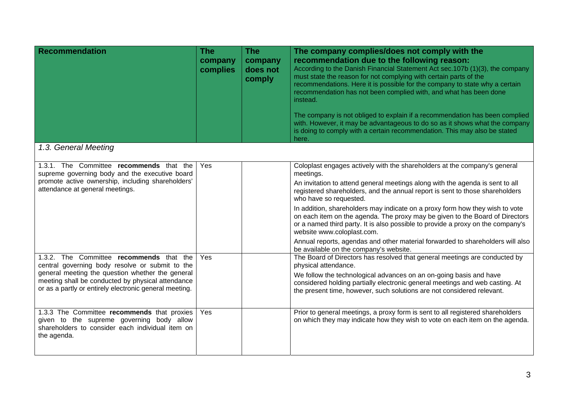| <b>Recommendation</b>                                                                                                                                                                                                                                          | <b>The</b><br>company<br>complies | <b>The</b><br>company<br>does not<br>comply | The company complies/does not comply with the<br>recommendation due to the following reason:<br>According to the Danish Financial Statement Act sec.107b (1)(3), the company<br>must state the reason for not complying with certain parts of the<br>recommendations. Here it is possible for the company to state why a certain<br>recommendation has not been complied with, and what has been done<br>instead.<br>The company is not obliged to explain if a recommendation has been complied<br>with. However, it may be advantageous to do so as it shows what the company<br>is doing to comply with a certain recommendation. This may also be stated |
|----------------------------------------------------------------------------------------------------------------------------------------------------------------------------------------------------------------------------------------------------------------|-----------------------------------|---------------------------------------------|--------------------------------------------------------------------------------------------------------------------------------------------------------------------------------------------------------------------------------------------------------------------------------------------------------------------------------------------------------------------------------------------------------------------------------------------------------------------------------------------------------------------------------------------------------------------------------------------------------------------------------------------------------------|
|                                                                                                                                                                                                                                                                |                                   |                                             | here.                                                                                                                                                                                                                                                                                                                                                                                                                                                                                                                                                                                                                                                        |
| 1.3. General Meeting                                                                                                                                                                                                                                           |                                   |                                             |                                                                                                                                                                                                                                                                                                                                                                                                                                                                                                                                                                                                                                                              |
| 1.3.1. The Committee recommends that the<br>supreme governing body and the executive board<br>promote active ownership, including shareholders'<br>attendance at general meetings.                                                                             | Yes                               |                                             | Coloplast engages actively with the shareholders at the company's general<br>meetings.<br>An invitation to attend general meetings along with the agenda is sent to all<br>registered shareholders, and the annual report is sent to those shareholders<br>who have so requested.                                                                                                                                                                                                                                                                                                                                                                            |
|                                                                                                                                                                                                                                                                |                                   |                                             | In addition, shareholders may indicate on a proxy form how they wish to vote<br>on each item on the agenda. The proxy may be given to the Board of Directors<br>or a named third party. It is also possible to provide a proxy on the company's<br>website www.coloplast.com.                                                                                                                                                                                                                                                                                                                                                                                |
|                                                                                                                                                                                                                                                                |                                   |                                             | Annual reports, agendas and other material forwarded to shareholders will also<br>be available on the company's website.                                                                                                                                                                                                                                                                                                                                                                                                                                                                                                                                     |
| 1.3.2. The Committee recommends that the<br>central governing body resolve or submit to the<br>general meeting the question whether the general<br>meeting shall be conducted by physical attendance<br>or as a partly or entirely electronic general meeting. | Yes                               |                                             | The Board of Directors has resolved that general meetings are conducted by<br>physical attendance.<br>We follow the technological advances on an on-going basis and have<br>considered holding partially electronic general meetings and web casting. At<br>the present time, however, such solutions are not considered relevant.                                                                                                                                                                                                                                                                                                                           |
| 1.3.3 The Committee recommends that proxies<br>given to the supreme governing body allow<br>shareholders to consider each individual item on<br>the agenda.                                                                                                    | Yes                               |                                             | Prior to general meetings, a proxy form is sent to all registered shareholders<br>on which they may indicate how they wish to vote on each item on the agenda.                                                                                                                                                                                                                                                                                                                                                                                                                                                                                               |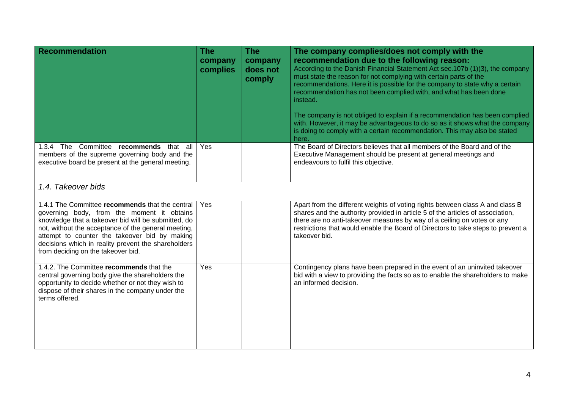| <b>Recommendation</b>                                                                                                                                                                                                                                                                                                                                     | <b>The</b><br>company<br>complies | <b>The</b><br>company<br>does not<br>comply | The company complies/does not comply with the<br>recommendation due to the following reason:<br>According to the Danish Financial Statement Act sec.107b (1)(3), the company<br>must state the reason for not complying with certain parts of the<br>recommendations. Here it is possible for the company to state why a certain<br>recommendation has not been complied with, and what has been done<br>instead.<br>The company is not obliged to explain if a recommendation has been complied<br>with. However, it may be advantageous to do so as it shows what the company<br>is doing to comply with a certain recommendation. This may also be stated<br>here. |
|-----------------------------------------------------------------------------------------------------------------------------------------------------------------------------------------------------------------------------------------------------------------------------------------------------------------------------------------------------------|-----------------------------------|---------------------------------------------|-----------------------------------------------------------------------------------------------------------------------------------------------------------------------------------------------------------------------------------------------------------------------------------------------------------------------------------------------------------------------------------------------------------------------------------------------------------------------------------------------------------------------------------------------------------------------------------------------------------------------------------------------------------------------|
| 1.3.4 The Committee recommends that all<br>members of the supreme governing body and the<br>executive board be present at the general meeting.                                                                                                                                                                                                            | <b>Yes</b>                        |                                             | The Board of Directors believes that all members of the Board and of the<br>Executive Management should be present at general meetings and<br>endeavours to fulfil this objective.                                                                                                                                                                                                                                                                                                                                                                                                                                                                                    |
| 1.4. Takeover bids                                                                                                                                                                                                                                                                                                                                        |                                   |                                             |                                                                                                                                                                                                                                                                                                                                                                                                                                                                                                                                                                                                                                                                       |
| 1.4.1 The Committee recommends that the central<br>governing body, from the moment it obtains<br>knowledge that a takeover bid will be submitted, do<br>not, without the acceptance of the general meeting,<br>attempt to counter the takeover bid by making<br>decisions which in reality prevent the shareholders<br>from deciding on the takeover bid. | Yes                               |                                             | Apart from the different weights of voting rights between class A and class B<br>shares and the authority provided in article 5 of the articles of association,<br>there are no anti-takeover measures by way of a ceiling on votes or any<br>restrictions that would enable the Board of Directors to take steps to prevent a<br>takeover bid.                                                                                                                                                                                                                                                                                                                       |
| 1.4.2. The Committee recommends that the<br>central governing body give the shareholders the<br>opportunity to decide whether or not they wish to<br>dispose of their shares in the company under the<br>terms offered.                                                                                                                                   | Yes                               |                                             | Contingency plans have been prepared in the event of an uninvited takeover<br>bid with a view to providing the facts so as to enable the shareholders to make<br>an informed decision.                                                                                                                                                                                                                                                                                                                                                                                                                                                                                |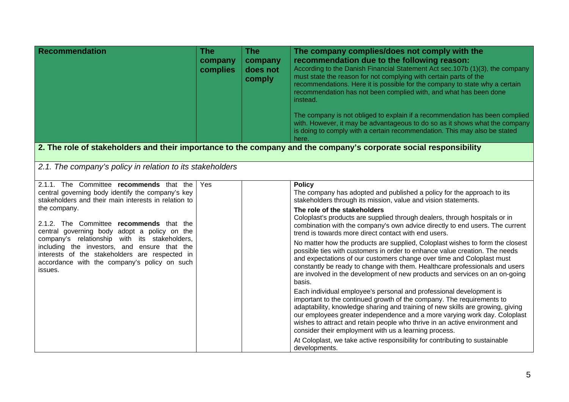| Recommendation                                                                                                                                                                                                                                                                                                                                                                                                                                                                  | <b>The</b><br>company<br>complies | <b>The</b><br>company<br>does not<br>comply | The company complies/does not comply with the<br>recommendation due to the following reason:<br>According to the Danish Financial Statement Act sec.107b (1)(3), the company<br>must state the reason for not complying with certain parts of the<br>recommendations. Here it is possible for the company to state why a certain<br>recommendation has not been complied with, and what has been done<br>instead.<br>The company is not obliged to explain if a recommendation has been complied<br>with. However, it may be advantageous to do so as it shows what the company<br>is doing to comply with a certain recommendation. This may also be stated<br>here.                                                                                                                                                                                                                                                                                                                                                                                                                                                                                                                                                                                                                                                                                                                  |
|---------------------------------------------------------------------------------------------------------------------------------------------------------------------------------------------------------------------------------------------------------------------------------------------------------------------------------------------------------------------------------------------------------------------------------------------------------------------------------|-----------------------------------|---------------------------------------------|----------------------------------------------------------------------------------------------------------------------------------------------------------------------------------------------------------------------------------------------------------------------------------------------------------------------------------------------------------------------------------------------------------------------------------------------------------------------------------------------------------------------------------------------------------------------------------------------------------------------------------------------------------------------------------------------------------------------------------------------------------------------------------------------------------------------------------------------------------------------------------------------------------------------------------------------------------------------------------------------------------------------------------------------------------------------------------------------------------------------------------------------------------------------------------------------------------------------------------------------------------------------------------------------------------------------------------------------------------------------------------------|
|                                                                                                                                                                                                                                                                                                                                                                                                                                                                                 |                                   |                                             | 2. The role of stakeholders and their importance to the company and the company's corporate social responsibility                                                                                                                                                                                                                                                                                                                                                                                                                                                                                                                                                                                                                                                                                                                                                                                                                                                                                                                                                                                                                                                                                                                                                                                                                                                                      |
| 2.1. The company's policy in relation to its stakeholders                                                                                                                                                                                                                                                                                                                                                                                                                       |                                   |                                             |                                                                                                                                                                                                                                                                                                                                                                                                                                                                                                                                                                                                                                                                                                                                                                                                                                                                                                                                                                                                                                                                                                                                                                                                                                                                                                                                                                                        |
| 2.1.1. The Committee recommends that the<br>central governing body identify the company's key<br>stakeholders and their main interests in relation to<br>the company.<br>2.1.2. The Committee recommends that the<br>central governing body adopt a policy on the<br>company's relationship with its stakeholders,<br>including the investors, and ensure that the<br>interests of the stakeholders are respected in<br>accordance with the company's policy on such<br>issues. | Yes                               |                                             | <b>Policy</b><br>The company has adopted and published a policy for the approach to its<br>stakeholders through its mission, value and vision statements.<br>The role of the stakeholders<br>Coloplast's products are supplied through dealers, through hospitals or in<br>combination with the company's own advice directly to end users. The current<br>trend is towards more direct contact with end users.<br>No matter how the products are supplied, Coloplast wishes to form the closest<br>possible ties with customers in order to enhance value creation. The needs<br>and expectations of our customers change over time and Coloplast must<br>constantly be ready to change with them. Healthcare professionals and users<br>are involved in the development of new products and services on an on-going<br>basis.<br>Each individual employee's personal and professional development is<br>important to the continued growth of the company. The requirements to<br>adaptability, knowledge sharing and training of new skills are growing, giving<br>our employees greater independence and a more varying work day. Coloplast<br>wishes to attract and retain people who thrive in an active environment and<br>consider their employment with us a learning process.<br>At Coloplast, we take active responsibility for contributing to sustainable<br>developments. |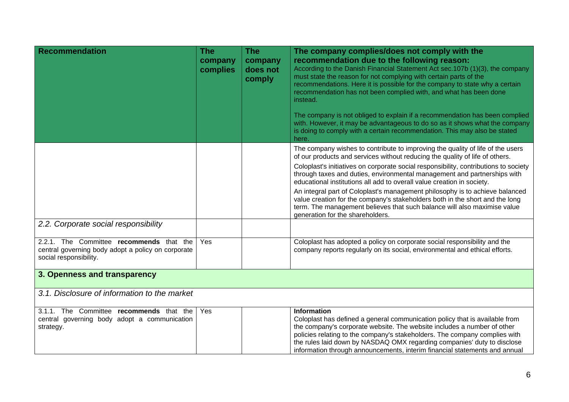| <b>Recommendation</b>                                                                                                    | <b>The</b><br>company<br>complies | <b>The</b><br>company<br>does not<br>comply | The company complies/does not comply with the<br>recommendation due to the following reason:<br>According to the Danish Financial Statement Act sec. 107b (1)(3), the company<br>must state the reason for not complying with certain parts of the<br>recommendations. Here it is possible for the company to state why a certain<br>recommendation has not been complied with, and what has been done<br>instead.  |
|--------------------------------------------------------------------------------------------------------------------------|-----------------------------------|---------------------------------------------|---------------------------------------------------------------------------------------------------------------------------------------------------------------------------------------------------------------------------------------------------------------------------------------------------------------------------------------------------------------------------------------------------------------------|
|                                                                                                                          |                                   |                                             | The company is not obliged to explain if a recommendation has been complied<br>with. However, it may be advantageous to do so as it shows what the company<br>is doing to comply with a certain recommendation. This may also be stated<br>here.                                                                                                                                                                    |
|                                                                                                                          |                                   |                                             | The company wishes to contribute to improving the quality of life of the users<br>of our products and services without reducing the quality of life of others.                                                                                                                                                                                                                                                      |
|                                                                                                                          |                                   |                                             | Coloplast's initiatives on corporate social responsibility, contributions to society<br>through taxes and duties, environmental management and partnerships with<br>educational institutions all add to overall value creation in society.                                                                                                                                                                          |
|                                                                                                                          |                                   |                                             | An integral part of Coloplast's management philosophy is to achieve balanced<br>value creation for the company's stakeholders both in the short and the long<br>term. The management believes that such balance will also maximise value<br>generation for the shareholders.                                                                                                                                        |
| 2.2. Corporate social responsibility                                                                                     |                                   |                                             |                                                                                                                                                                                                                                                                                                                                                                                                                     |
| 2.2.1. The Committee recommends that the<br>central governing body adopt a policy on corporate<br>social responsibility. | Yes                               |                                             | Coloplast has adopted a policy on corporate social responsibility and the<br>company reports regularly on its social, environmental and ethical efforts.                                                                                                                                                                                                                                                            |
| 3. Openness and transparency                                                                                             |                                   |                                             |                                                                                                                                                                                                                                                                                                                                                                                                                     |
| 3.1. Disclosure of information to the market                                                                             |                                   |                                             |                                                                                                                                                                                                                                                                                                                                                                                                                     |
| 3.1.1. The Committee recommends that the<br>central governing body adopt a communication<br>strategy.                    | Yes                               |                                             | <b>Information</b><br>Coloplast has defined a general communication policy that is available from<br>the company's corporate website. The website includes a number of other<br>policies relating to the company's stakeholders. The company complies with<br>the rules laid down by NASDAQ OMX regarding companies' duty to disclose<br>information through announcements, interim financial statements and annual |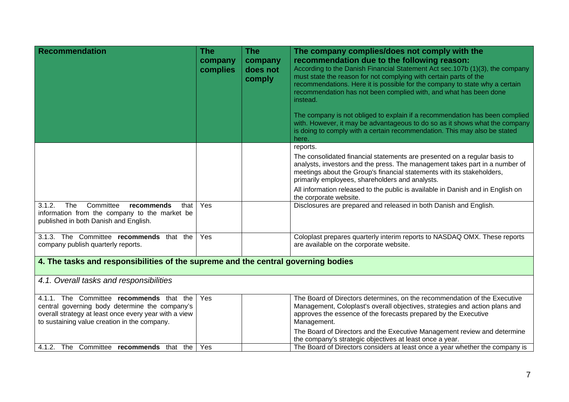| <b>Recommendation</b>                                                                                                                      | <b>The</b><br>company<br>complies | <b>The</b><br>company<br>does not<br>comply | The company complies/does not comply with the<br>recommendation due to the following reason:<br>According to the Danish Financial Statement Act sec.107b (1)(3), the company<br>must state the reason for not complying with certain parts of the<br>recommendations. Here it is possible for the company to state why a certain |
|--------------------------------------------------------------------------------------------------------------------------------------------|-----------------------------------|---------------------------------------------|----------------------------------------------------------------------------------------------------------------------------------------------------------------------------------------------------------------------------------------------------------------------------------------------------------------------------------|
|                                                                                                                                            |                                   |                                             | recommendation has not been complied with, and what has been done<br>instead.                                                                                                                                                                                                                                                    |
|                                                                                                                                            |                                   |                                             | The company is not obliged to explain if a recommendation has been complied<br>with. However, it may be advantageous to do so as it shows what the company<br>is doing to comply with a certain recommendation. This may also be stated<br>here.                                                                                 |
|                                                                                                                                            |                                   |                                             | reports.                                                                                                                                                                                                                                                                                                                         |
|                                                                                                                                            |                                   |                                             | The consolidated financial statements are presented on a regular basis to<br>analysts, investors and the press. The management takes part in a number of<br>meetings about the Group's financial statements with its stakeholders,<br>primarily employees, shareholders and analysts.                                            |
|                                                                                                                                            |                                   |                                             | All information released to the public is available in Danish and in English on<br>the corporate website.                                                                                                                                                                                                                        |
| 3.1.2.<br>The<br>Committee<br>recommends<br>that<br>information from the company to the market be<br>published in both Danish and English. | Yes                               |                                             | Disclosures are prepared and released in both Danish and English.                                                                                                                                                                                                                                                                |
| 3.1.3. The Committee recommends that the<br>company publish quarterly reports.                                                             | Yes                               |                                             | Coloplast prepares quarterly interim reports to NASDAQ OMX. These reports<br>are available on the corporate website.                                                                                                                                                                                                             |
| 4. The tasks and responsibilities of the supreme and the central governing bodies                                                          |                                   |                                             |                                                                                                                                                                                                                                                                                                                                  |
| 4.1. Overall tasks and responsibilities                                                                                                    |                                   |                                             |                                                                                                                                                                                                                                                                                                                                  |
| 4.1.1. The Committee recommends that the                                                                                                   | Yes                               |                                             | The Board of Directors determines, on the recommendation of the Executive                                                                                                                                                                                                                                                        |
| central governing body determine the company's                                                                                             |                                   |                                             | Management, Coloplast's overall objectives, strategies and action plans and                                                                                                                                                                                                                                                      |
| overall strategy at least once every year with a view<br>to sustaining value creation in the company.                                      |                                   |                                             | approves the essence of the forecasts prepared by the Executive<br>Management.                                                                                                                                                                                                                                                   |
|                                                                                                                                            |                                   |                                             | The Board of Directors and the Executive Management review and determine                                                                                                                                                                                                                                                         |
|                                                                                                                                            |                                   |                                             | the company's strategic objectives at least once a year.                                                                                                                                                                                                                                                                         |
| 4.1.2. The Committee recommends that the                                                                                                   | Yes                               |                                             | The Board of Directors considers at least once a year whether the company is                                                                                                                                                                                                                                                     |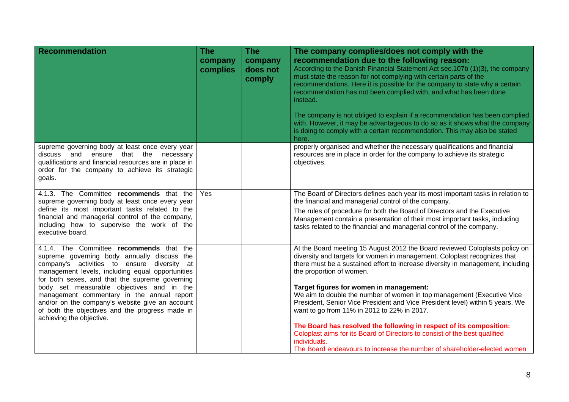| <b>Recommendation</b>                                                                                                                                                                                                                                                                                                                                                                                                                                                     | <b>The</b><br>company<br>complies | <b>The</b><br>company<br>does not<br>comply | The company complies/does not comply with the<br>recommendation due to the following reason:<br>According to the Danish Financial Statement Act sec.107b (1)(3), the company<br>must state the reason for not complying with certain parts of the<br>recommendations. Here it is possible for the company to state why a certain<br>recommendation has not been complied with, and what has been done<br>instead.<br>The company is not obliged to explain if a recommendation has been complied<br>with. However, it may be advantageous to do so as it shows what the company<br>is doing to comply with a certain recommendation. This may also be stated<br>here.                                                                                                        |
|---------------------------------------------------------------------------------------------------------------------------------------------------------------------------------------------------------------------------------------------------------------------------------------------------------------------------------------------------------------------------------------------------------------------------------------------------------------------------|-----------------------------------|---------------------------------------------|------------------------------------------------------------------------------------------------------------------------------------------------------------------------------------------------------------------------------------------------------------------------------------------------------------------------------------------------------------------------------------------------------------------------------------------------------------------------------------------------------------------------------------------------------------------------------------------------------------------------------------------------------------------------------------------------------------------------------------------------------------------------------|
| supreme governing body at least once every year<br>and<br>ensure<br>that the<br>discuss<br>necessary<br>qualifications and financial resources are in place in<br>order for the company to achieve its strategic<br>goals.                                                                                                                                                                                                                                                |                                   |                                             | properly organised and whether the necessary qualifications and financial<br>resources are in place in order for the company to achieve its strategic<br>objectives.                                                                                                                                                                                                                                                                                                                                                                                                                                                                                                                                                                                                         |
| 4.1.3. The Committee recommends that the<br>supreme governing body at least once every year<br>define its most important tasks related to the<br>financial and managerial control of the company,<br>including how to supervise the work of the<br>executive board.                                                                                                                                                                                                       | Yes                               |                                             | The Board of Directors defines each year its most important tasks in relation to<br>the financial and managerial control of the company.<br>The rules of procedure for both the Board of Directors and the Executive<br>Management contain a presentation of their most important tasks, including<br>tasks related to the financial and managerial control of the company.                                                                                                                                                                                                                                                                                                                                                                                                  |
| 4.1.4. The Committee recommends that the<br>supreme governing body annually discuss the<br>company's activities to ensure diversity at<br>management levels, including equal opportunities<br>for both sexes, and that the supreme governing<br>body set measurable objectives and in the<br>management commentary in the annual report<br>and/or on the company's website give an account<br>of both the objectives and the progress made in<br>achieving the objective. |                                   |                                             | At the Board meeting 15 August 2012 the Board reviewed Coloplasts policy on<br>diversity and targets for women in management. Coloplast recognizes that<br>there must be a sustained effort to increase diversity in management, including<br>the proportion of women.<br>Target figures for women in management:<br>We aim to double the number of women in top management (Executive Vice<br>President, Senior Vice President and Vice President level) within 5 years. We<br>want to go from 11% in 2012 to 22% in 2017.<br>The Board has resolved the following in respect of its composition:<br>Coloplast aims for its Board of Directors to consist of the best qualified<br>individuals.<br>The Board endeavours to increase the number of shareholder-elected women |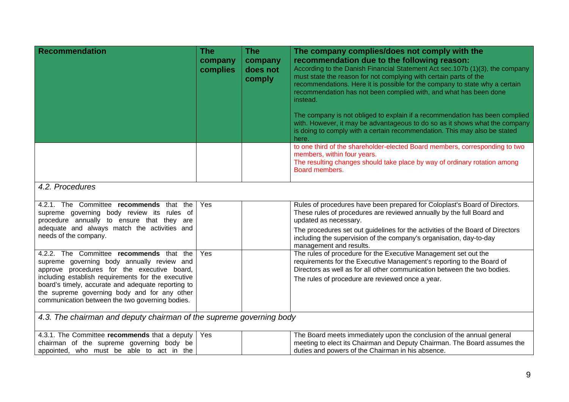| <b>Recommendation</b>                                                                                                                                                                                                                                                                                                                                | The<br>company<br>complies | <b>The</b><br>company<br>does not<br>comply | The company complies/does not comply with the<br>recommendation due to the following reason:<br>According to the Danish Financial Statement Act sec.107b (1)(3), the company<br>must state the reason for not complying with certain parts of the<br>recommendations. Here it is possible for the company to state why a certain<br>recommendation has not been complied with, and what has been done<br>instead.<br>The company is not obliged to explain if a recommendation has been complied<br>with. However, it may be advantageous to do so as it shows what the company<br>is doing to comply with a certain recommendation. This may also be stated<br>here. |  |  |
|------------------------------------------------------------------------------------------------------------------------------------------------------------------------------------------------------------------------------------------------------------------------------------------------------------------------------------------------------|----------------------------|---------------------------------------------|-----------------------------------------------------------------------------------------------------------------------------------------------------------------------------------------------------------------------------------------------------------------------------------------------------------------------------------------------------------------------------------------------------------------------------------------------------------------------------------------------------------------------------------------------------------------------------------------------------------------------------------------------------------------------|--|--|
|                                                                                                                                                                                                                                                                                                                                                      |                            |                                             | to one third of the shareholder-elected Board members, corresponding to two<br>members, within four years.<br>The resulting changes should take place by way of ordinary rotation among<br>Board members.                                                                                                                                                                                                                                                                                                                                                                                                                                                             |  |  |
| 4.2. Procedures                                                                                                                                                                                                                                                                                                                                      |                            |                                             |                                                                                                                                                                                                                                                                                                                                                                                                                                                                                                                                                                                                                                                                       |  |  |
| 4.2.1. The Committee recommends that the<br>supreme governing body review its rules of<br>procedure annually to ensure that they are<br>adequate and always match the activities and<br>needs of the company.                                                                                                                                        | Yes                        |                                             | Rules of procedures have been prepared for Coloplast's Board of Directors.<br>These rules of procedures are reviewed annually by the full Board and<br>updated as necessary.<br>The procedures set out guidelines for the activities of the Board of Directors<br>including the supervision of the company's organisation, day-to-day<br>management and results.                                                                                                                                                                                                                                                                                                      |  |  |
| 4.2.2. The Committee recommends that the<br>supreme governing body annually review and<br>approve procedures for the executive board,<br>including establish requirements for the executive<br>board's timely, accurate and adequate reporting to<br>the supreme governing body and for any other<br>communication between the two governing bodies. | Yes                        |                                             | The rules of procedure for the Executive Management set out the<br>requirements for the Executive Management's reporting to the Board of<br>Directors as well as for all other communication between the two bodies.<br>The rules of procedure are reviewed once a year.                                                                                                                                                                                                                                                                                                                                                                                              |  |  |
| 4.3. The chairman and deputy chairman of the supreme governing body                                                                                                                                                                                                                                                                                  |                            |                                             |                                                                                                                                                                                                                                                                                                                                                                                                                                                                                                                                                                                                                                                                       |  |  |
| 4.3.1. The Committee recommends that a deputy<br>chairman of the supreme governing body be<br>appointed, who must be able to act in the                                                                                                                                                                                                              | Yes                        |                                             | The Board meets immediately upon the conclusion of the annual general<br>meeting to elect its Chairman and Deputy Chairman. The Board assumes the<br>duties and powers of the Chairman in his absence.                                                                                                                                                                                                                                                                                                                                                                                                                                                                |  |  |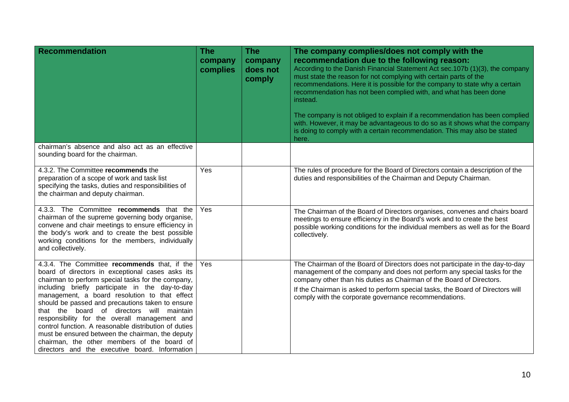| <b>Recommendation</b>                                                                                                                                                                                                                                                                                                                                                                                                                                                                                                                                                                                                      | <b>The</b><br>company<br>complies | <b>The</b><br>company<br>does not<br>comply | The company complies/does not comply with the<br>recommendation due to the following reason:<br>According to the Danish Financial Statement Act sec. 107b (1)(3), the company<br>must state the reason for not complying with certain parts of the<br>recommendations. Here it is possible for the company to state why a certain<br>recommendation has not been complied with, and what has been done<br>instead.<br>The company is not obliged to explain if a recommendation has been complied<br>with. However, it may be advantageous to do so as it shows what the company<br>is doing to comply with a certain recommendation. This may also be stated<br>here. |
|----------------------------------------------------------------------------------------------------------------------------------------------------------------------------------------------------------------------------------------------------------------------------------------------------------------------------------------------------------------------------------------------------------------------------------------------------------------------------------------------------------------------------------------------------------------------------------------------------------------------------|-----------------------------------|---------------------------------------------|------------------------------------------------------------------------------------------------------------------------------------------------------------------------------------------------------------------------------------------------------------------------------------------------------------------------------------------------------------------------------------------------------------------------------------------------------------------------------------------------------------------------------------------------------------------------------------------------------------------------------------------------------------------------|
| chairman's absence and also act as an effective<br>sounding board for the chairman.                                                                                                                                                                                                                                                                                                                                                                                                                                                                                                                                        |                                   |                                             |                                                                                                                                                                                                                                                                                                                                                                                                                                                                                                                                                                                                                                                                        |
| 4.3.2. The Committee recommends the<br>preparation of a scope of work and task list<br>specifying the tasks, duties and responsibilities of<br>the chairman and deputy chairman.                                                                                                                                                                                                                                                                                                                                                                                                                                           | Yes                               |                                             | The rules of procedure for the Board of Directors contain a description of the<br>duties and responsibilities of the Chairman and Deputy Chairman.                                                                                                                                                                                                                                                                                                                                                                                                                                                                                                                     |
| 4.3.3. The Committee recommends that the<br>chairman of the supreme governing body organise,<br>convene and chair meetings to ensure efficiency in<br>the body's work and to create the best possible<br>working conditions for the members, individually<br>and collectively.                                                                                                                                                                                                                                                                                                                                             | Yes                               |                                             | The Chairman of the Board of Directors organises, convenes and chairs board<br>meetings to ensure efficiency in the Board's work and to create the best<br>possible working conditions for the individual members as well as for the Board<br>collectively.                                                                                                                                                                                                                                                                                                                                                                                                            |
| 4.3.4. The Committee recommends that, if the<br>board of directors in exceptional cases asks its<br>chairman to perform special tasks for the company,<br>including briefly participate in the day-to-day<br>management, a board resolution to that effect<br>should be passed and precautions taken to ensure<br>that the board of directors will maintain<br>responsibility for the overall management and<br>control function. A reasonable distribution of duties<br>must be ensured between the chairman, the deputy<br>chairman, the other members of the board of<br>directors and the executive board. Information | Yes                               |                                             | The Chairman of the Board of Directors does not participate in the day-to-day<br>management of the company and does not perform any special tasks for the<br>company other than his duties as Chairman of the Board of Directors.<br>If the Chairman is asked to perform special tasks, the Board of Directors will<br>comply with the corporate governance recommendations.                                                                                                                                                                                                                                                                                           |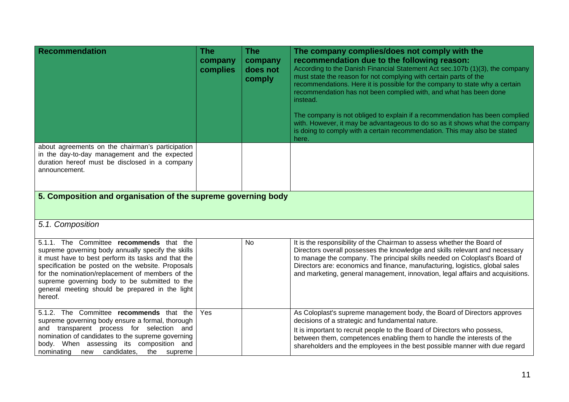| <b>Recommendation</b>                                                                                                                                                                                                                                                                                                                                                         | The<br>company<br>complies | <b>The</b><br>company<br>does not<br>comply | The company complies/does not comply with the<br>recommendation due to the following reason:<br>According to the Danish Financial Statement Act sec. 107b (1)(3), the company<br>must state the reason for not complying with certain parts of the<br>recommendations. Here it is possible for the company to state why a certain<br>recommendation has not been complied with, and what has been done<br>instead.<br>The company is not obliged to explain if a recommendation has been complied<br>with. However, it may be advantageous to do so as it shows what the company<br>is doing to comply with a certain recommendation. This may also be stated<br>here. |  |  |  |
|-------------------------------------------------------------------------------------------------------------------------------------------------------------------------------------------------------------------------------------------------------------------------------------------------------------------------------------------------------------------------------|----------------------------|---------------------------------------------|------------------------------------------------------------------------------------------------------------------------------------------------------------------------------------------------------------------------------------------------------------------------------------------------------------------------------------------------------------------------------------------------------------------------------------------------------------------------------------------------------------------------------------------------------------------------------------------------------------------------------------------------------------------------|--|--|--|
| about agreements on the chairman's participation<br>in the day-to-day management and the expected<br>duration hereof must be disclosed in a company<br>announcement.                                                                                                                                                                                                          |                            |                                             |                                                                                                                                                                                                                                                                                                                                                                                                                                                                                                                                                                                                                                                                        |  |  |  |
| 5. Composition and organisation of the supreme governing body                                                                                                                                                                                                                                                                                                                 |                            |                                             |                                                                                                                                                                                                                                                                                                                                                                                                                                                                                                                                                                                                                                                                        |  |  |  |
| 5.1. Composition                                                                                                                                                                                                                                                                                                                                                              |                            |                                             |                                                                                                                                                                                                                                                                                                                                                                                                                                                                                                                                                                                                                                                                        |  |  |  |
| 5.1.1. The Committee recommends that the<br>supreme governing body annually specify the skills<br>it must have to best perform its tasks and that the<br>specification be posted on the website. Proposals<br>for the nomination/replacement of members of the<br>supreme governing body to be submitted to the<br>general meeting should be prepared in the light<br>hereof. |                            | <b>No</b>                                   | It is the responsibility of the Chairman to assess whether the Board of<br>Directors overall possesses the knowledge and skills relevant and necessary<br>to manage the company. The principal skills needed on Coloplast's Board of<br>Directors are: economics and finance, manufacturing, logistics, global sales<br>and marketing, general management, innovation, legal affairs and acquisitions.                                                                                                                                                                                                                                                                 |  |  |  |
| 5.1.2. The Committee recommends that the<br>supreme governing body ensure a formal, thorough                                                                                                                                                                                                                                                                                  | Yes                        |                                             | As Coloplast's supreme management body, the Board of Directors approves<br>decisions of a strategic and fundamental nature.                                                                                                                                                                                                                                                                                                                                                                                                                                                                                                                                            |  |  |  |
| and transparent process for selection and<br>nomination of candidates to the supreme governing<br>body. When assessing its composition and<br>nominating new candidates,<br>the<br>supreme                                                                                                                                                                                    |                            |                                             | It is important to recruit people to the Board of Directors who possess,<br>between them, competences enabling them to handle the interests of the<br>shareholders and the employees in the best possible manner with due regard                                                                                                                                                                                                                                                                                                                                                                                                                                       |  |  |  |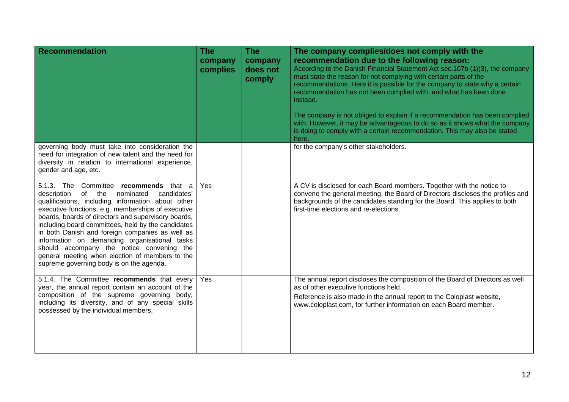| <b>Recommendation</b>                                                                                                                                                                                                                                                                                                                                                                                                                                                                                                                                                  | <b>The</b><br>company<br>complies | <b>The</b><br>company<br>does not<br>comply | The company complies/does not comply with the<br>recommendation due to the following reason:<br>According to the Danish Financial Statement Act sec.107b (1)(3), the company<br>must state the reason for not complying with certain parts of the<br>recommendations. Here it is possible for the company to state why a certain<br>recommendation has not been complied with, and what has been done<br>instead.<br>The company is not obliged to explain if a recommendation has been complied<br>with. However, it may be advantageous to do so as it shows what the company<br>is doing to comply with a certain recommendation. This may also be stated<br>here. |
|------------------------------------------------------------------------------------------------------------------------------------------------------------------------------------------------------------------------------------------------------------------------------------------------------------------------------------------------------------------------------------------------------------------------------------------------------------------------------------------------------------------------------------------------------------------------|-----------------------------------|---------------------------------------------|-----------------------------------------------------------------------------------------------------------------------------------------------------------------------------------------------------------------------------------------------------------------------------------------------------------------------------------------------------------------------------------------------------------------------------------------------------------------------------------------------------------------------------------------------------------------------------------------------------------------------------------------------------------------------|
| governing body must take into consideration the<br>need for integration of new talent and the need for<br>diversity in relation to international experience,<br>gender and age, etc.                                                                                                                                                                                                                                                                                                                                                                                   |                                   |                                             | for the company's other stakeholders.                                                                                                                                                                                                                                                                                                                                                                                                                                                                                                                                                                                                                                 |
| 5.1.3. The Committee recommends that a<br>description<br>of<br>nominated<br>candidates'<br>the<br>qualifications, including information about other<br>executive functions, e.g. memberships of executive<br>boards, boards of directors and supervisory boards,<br>including board committees, held by the candidates<br>in both Danish and foreign companies as well as<br>information on demanding organisational tasks<br>should accompany the notice convening the<br>general meeting when election of members to the<br>supreme governing body is on the agenda. | Yes                               |                                             | A CV is disclosed for each Board members. Together with the notice to<br>convene the general meeting, the Board of Directors discloses the profiles and<br>backgrounds of the candidates standing for the Board. This applies to both<br>first-time elections and re-elections.                                                                                                                                                                                                                                                                                                                                                                                       |
| 5.1.4. The Committee recommends that every<br>year, the annual report contain an account of the<br>composition of the supreme governing body,<br>including its diversity, and of any special skills<br>possessed by the individual members.                                                                                                                                                                                                                                                                                                                            | Yes                               |                                             | The annual report discloses the composition of the Board of Directors as well<br>as of other executive functions held.<br>Reference is also made in the annual report to the Coloplast website,<br>www.coloplast.com, for further information on each Board member.                                                                                                                                                                                                                                                                                                                                                                                                   |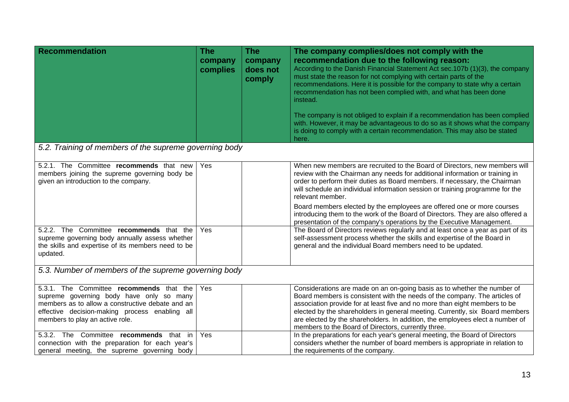| <b>Recommendation</b>                                                                                                                                                                                                                                                    | <b>The</b><br>company<br>complies | <b>The</b><br>company<br>does not<br>comply | The company complies/does not comply with the<br>recommendation due to the following reason:<br>According to the Danish Financial Statement Act sec.107b (1)(3), the company<br>must state the reason for not complying with certain parts of the<br>recommendations. Here it is possible for the company to state why a certain<br>recommendation has not been complied with, and what has been done<br>instead.<br>The company is not obliged to explain if a recommendation has been complied<br>with. However, it may be advantageous to do so as it shows what the company<br>is doing to comply with a certain recommendation. This may also be stated<br>here. |  |
|--------------------------------------------------------------------------------------------------------------------------------------------------------------------------------------------------------------------------------------------------------------------------|-----------------------------------|---------------------------------------------|-----------------------------------------------------------------------------------------------------------------------------------------------------------------------------------------------------------------------------------------------------------------------------------------------------------------------------------------------------------------------------------------------------------------------------------------------------------------------------------------------------------------------------------------------------------------------------------------------------------------------------------------------------------------------|--|
| 5.2. Training of members of the supreme governing body                                                                                                                                                                                                                   |                                   |                                             |                                                                                                                                                                                                                                                                                                                                                                                                                                                                                                                                                                                                                                                                       |  |
| 5.2.1. The Committee recommends that new<br>members joining the supreme governing body be<br>given an introduction to the company.                                                                                                                                       | Yes                               |                                             | When new members are recruited to the Board of Directors, new members will<br>review with the Chairman any needs for additional information or training in<br>order to perform their duties as Board members. If necessary, the Chairman<br>will schedule an individual information session or training programme for the<br>relevant member.<br>Board members elected by the employees are offered one or more courses<br>introducing them to the work of the Board of Directors. They are also offered a<br>presentation of the company's operations by the Executive Management.                                                                                   |  |
| 5.2.2. The Committee recommends that the<br>supreme governing body annually assess whether<br>the skills and expertise of its members need to be<br>updated.                                                                                                             | Yes                               |                                             | The Board of Directors reviews regularly and at least once a year as part of its<br>self-assessment process whether the skills and expertise of the Board in<br>general and the individual Board members need to be updated.                                                                                                                                                                                                                                                                                                                                                                                                                                          |  |
| 5.3. Number of members of the supreme governing body                                                                                                                                                                                                                     |                                   |                                             |                                                                                                                                                                                                                                                                                                                                                                                                                                                                                                                                                                                                                                                                       |  |
| 5.3.1. The Committee recommends that the<br>supreme governing body have only so many<br>members as to allow a constructive debate and an<br>effective decision-making process enabling all<br>members to play an active role.<br>5.3.2. The Committee recommends that in | Yes                               |                                             | Considerations are made on an on-going basis as to whether the number of<br>Board members is consistent with the needs of the company. The articles of<br>association provide for at least five and no more than eight members to be<br>elected by the shareholders in general meeting. Currently, six Board members<br>are elected by the shareholders. In addition, the employees elect a number of<br>members to the Board of Directors, currently three.                                                                                                                                                                                                          |  |
| connection with the preparation for each year's<br>general meeting, the supreme governing body                                                                                                                                                                           | Yes                               |                                             | In the preparations for each year's general meeting, the Board of Directors<br>considers whether the number of board members is appropriate in relation to<br>the requirements of the company.                                                                                                                                                                                                                                                                                                                                                                                                                                                                        |  |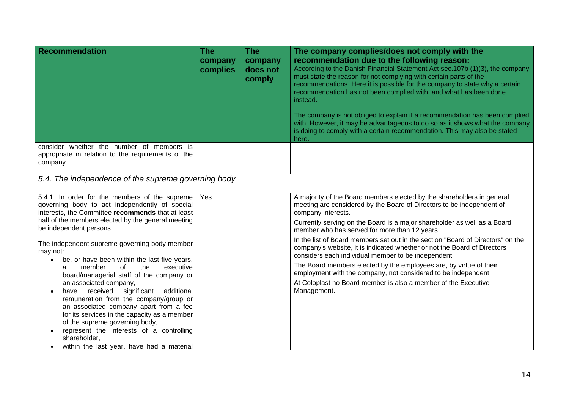| <b>Recommendation</b>                                                                                                                                                                                                                                                                                                                                                                                                                                                                                                                                                                                                                                                                                                                                                                                           | <b>The</b><br>company<br>complies | <b>The</b><br>company<br>does not<br>comply | The company complies/does not comply with the<br>recommendation due to the following reason:<br>According to the Danish Financial Statement Act sec.107b (1)(3), the company<br>must state the reason for not complying with certain parts of the<br>recommendations. Here it is possible for the company to state why a certain<br>recommendation has not been complied with, and what has been done<br>instead.<br>The company is not obliged to explain if a recommendation has been complied<br>with. However, it may be advantageous to do so as it shows what the company<br>is doing to comply with a certain recommendation. This may also be stated<br>here.                                                                             |  |  |
|-----------------------------------------------------------------------------------------------------------------------------------------------------------------------------------------------------------------------------------------------------------------------------------------------------------------------------------------------------------------------------------------------------------------------------------------------------------------------------------------------------------------------------------------------------------------------------------------------------------------------------------------------------------------------------------------------------------------------------------------------------------------------------------------------------------------|-----------------------------------|---------------------------------------------|---------------------------------------------------------------------------------------------------------------------------------------------------------------------------------------------------------------------------------------------------------------------------------------------------------------------------------------------------------------------------------------------------------------------------------------------------------------------------------------------------------------------------------------------------------------------------------------------------------------------------------------------------------------------------------------------------------------------------------------------------|--|--|
| consider whether the number of members is<br>appropriate in relation to the requirements of the<br>company.                                                                                                                                                                                                                                                                                                                                                                                                                                                                                                                                                                                                                                                                                                     |                                   |                                             |                                                                                                                                                                                                                                                                                                                                                                                                                                                                                                                                                                                                                                                                                                                                                   |  |  |
| 5.4. The independence of the supreme governing body                                                                                                                                                                                                                                                                                                                                                                                                                                                                                                                                                                                                                                                                                                                                                             |                                   |                                             |                                                                                                                                                                                                                                                                                                                                                                                                                                                                                                                                                                                                                                                                                                                                                   |  |  |
| 5.4.1. In order for the members of the supreme<br>governing body to act independently of special<br>interests, the Committee recommends that at least<br>half of the members elected by the general meeting<br>be independent persons.<br>The independent supreme governing body member<br>may not:<br>be, or have been within the last five years,<br>executive<br>member<br>of<br>the<br>a<br>board/managerial staff of the company or<br>an associated company,<br>significant<br>additional<br>received<br>have<br>$\bullet$<br>remuneration from the company/group or<br>an associated company apart from a fee<br>for its services in the capacity as a member<br>of the supreme governing body,<br>represent the interests of a controlling<br>shareholder,<br>within the last year, have had a material | Yes                               |                                             | A majority of the Board members elected by the shareholders in general<br>meeting are considered by the Board of Directors to be independent of<br>company interests.<br>Currently serving on the Board is a major shareholder as well as a Board<br>member who has served for more than 12 years.<br>In the list of Board members set out in the section "Board of Directors" on the<br>company's website, it is indicated whether or not the Board of Directors<br>considers each individual member to be independent.<br>The Board members elected by the employees are, by virtue of their<br>employment with the company, not considered to be independent.<br>At Coloplast no Board member is also a member of the Executive<br>Management. |  |  |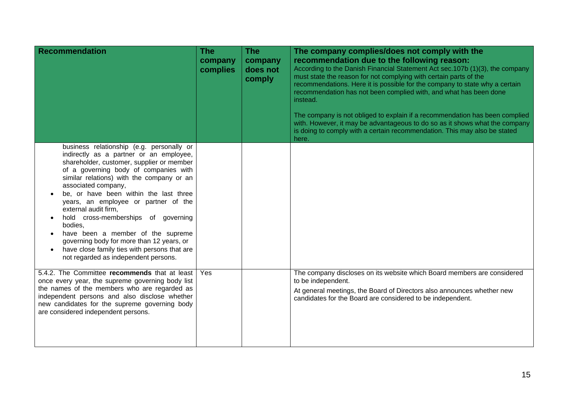| <b>Recommendation</b>                                                                                                                                                                                                                                                                                                                                                                                                                                                                                                                                                                | <b>The</b><br>company<br>complies | <b>The</b><br>company<br>does not<br>comply | The company complies/does not comply with the<br>recommendation due to the following reason:<br>According to the Danish Financial Statement Act sec.107b (1)(3), the company<br>must state the reason for not complying with certain parts of the<br>recommendations. Here it is possible for the company to state why a certain<br>recommendation has not been complied with, and what has been done<br>instead.<br>The company is not obliged to explain if a recommendation has been complied<br>with. However, it may be advantageous to do so as it shows what the company<br>is doing to comply with a certain recommendation. This may also be stated<br>here. |
|--------------------------------------------------------------------------------------------------------------------------------------------------------------------------------------------------------------------------------------------------------------------------------------------------------------------------------------------------------------------------------------------------------------------------------------------------------------------------------------------------------------------------------------------------------------------------------------|-----------------------------------|---------------------------------------------|-----------------------------------------------------------------------------------------------------------------------------------------------------------------------------------------------------------------------------------------------------------------------------------------------------------------------------------------------------------------------------------------------------------------------------------------------------------------------------------------------------------------------------------------------------------------------------------------------------------------------------------------------------------------------|
| business relationship (e.g. personally or<br>indirectly as a partner or an employee,<br>shareholder, customer, supplier or member<br>of a governing body of companies with<br>similar relations) with the company or an<br>associated company,<br>be, or have been within the last three<br>years, an employee or partner of the<br>external audit firm,<br>hold cross-memberships of governing<br>bodies,<br>have been a member of the supreme<br>governing body for more than 12 years, or<br>have close family ties with persons that are<br>not regarded as independent persons. |                                   |                                             |                                                                                                                                                                                                                                                                                                                                                                                                                                                                                                                                                                                                                                                                       |
| 5.4.2. The Committee recommends that at least<br>once every year, the supreme governing body list<br>the names of the members who are regarded as<br>independent persons and also disclose whether<br>new candidates for the supreme governing body<br>are considered independent persons.                                                                                                                                                                                                                                                                                           | Yes                               |                                             | The company discloses on its website which Board members are considered<br>to be independent.<br>At general meetings, the Board of Directors also announces whether new<br>candidates for the Board are considered to be independent.                                                                                                                                                                                                                                                                                                                                                                                                                                 |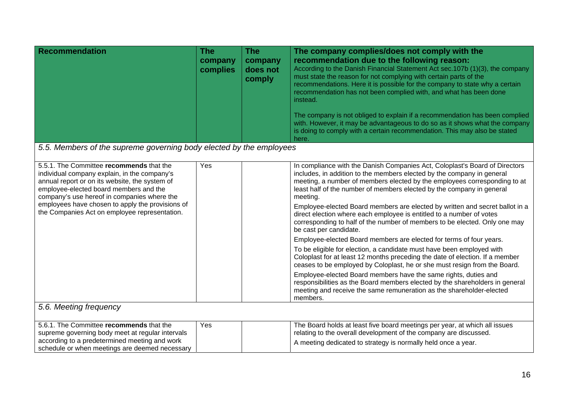| Recommendation                                                                                                                                                                                                                                                                                                                           | <b>The</b><br>company<br>complies | <b>The</b><br>company<br>does not<br>comply | The company complies/does not comply with the<br>recommendation due to the following reason:<br>According to the Danish Financial Statement Act sec. 107b (1)(3), the company<br>must state the reason for not complying with certain parts of the<br>recommendations. Here it is possible for the company to state why a certain<br>recommendation has not been complied with, and what has been done<br>instead.<br>The company is not obliged to explain if a recommendation has been complied<br>with. However, it may be advantageous to do so as it shows what the company<br>is doing to comply with a certain recommendation. This may also be stated<br>here.                                                                                                                                                                                                                                                                                                                                                                                                                                                                      |
|------------------------------------------------------------------------------------------------------------------------------------------------------------------------------------------------------------------------------------------------------------------------------------------------------------------------------------------|-----------------------------------|---------------------------------------------|---------------------------------------------------------------------------------------------------------------------------------------------------------------------------------------------------------------------------------------------------------------------------------------------------------------------------------------------------------------------------------------------------------------------------------------------------------------------------------------------------------------------------------------------------------------------------------------------------------------------------------------------------------------------------------------------------------------------------------------------------------------------------------------------------------------------------------------------------------------------------------------------------------------------------------------------------------------------------------------------------------------------------------------------------------------------------------------------------------------------------------------------|
| 5.5. Members of the supreme governing body elected by the employees                                                                                                                                                                                                                                                                      |                                   |                                             |                                                                                                                                                                                                                                                                                                                                                                                                                                                                                                                                                                                                                                                                                                                                                                                                                                                                                                                                                                                                                                                                                                                                             |
| 5.5.1. The Committee recommends that the<br>individual company explain, in the company's<br>annual report or on its website, the system of<br>employee-elected board members and the<br>company's use hereof in companies where the<br>employees have chosen to apply the provisions of<br>the Companies Act on employee representation. | Yes                               |                                             | In compliance with the Danish Companies Act, Coloplast's Board of Directors<br>includes, in addition to the members elected by the company in general<br>meeting, a number of members elected by the employees corresponding to at<br>least half of the number of members elected by the company in general<br>meeting.<br>Employee-elected Board members are elected by written and secret ballot in a<br>direct election where each employee is entitled to a number of votes<br>corresponding to half of the number of members to be elected. Only one may<br>be cast per candidate.<br>Employee-elected Board members are elected for terms of four years.<br>To be eligible for election, a candidate must have been employed with<br>Coloplast for at least 12 months preceding the date of election. If a member<br>ceases to be employed by Coloplast, he or she must resign from the Board.<br>Employee-elected Board members have the same rights, duties and<br>responsibilities as the Board members elected by the shareholders in general<br>meeting and receive the same remuneration as the shareholder-elected<br>members. |
| 5.6. Meeting frequency                                                                                                                                                                                                                                                                                                                   |                                   |                                             |                                                                                                                                                                                                                                                                                                                                                                                                                                                                                                                                                                                                                                                                                                                                                                                                                                                                                                                                                                                                                                                                                                                                             |
| 5.6.1. The Committee recommends that the<br>supreme governing body meet at regular intervals<br>according to a predetermined meeting and work<br>schedule or when meetings are deemed necessary                                                                                                                                          | Yes                               |                                             | The Board holds at least five board meetings per year, at which all issues<br>relating to the overall development of the company are discussed.<br>A meeting dedicated to strategy is normally held once a year.                                                                                                                                                                                                                                                                                                                                                                                                                                                                                                                                                                                                                                                                                                                                                                                                                                                                                                                            |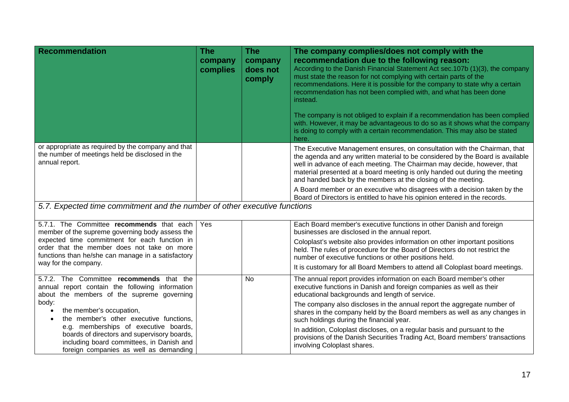| <b>Recommendation</b>                                                                                                                                                       | <b>The</b><br>company<br>complies | <b>The</b><br>company<br>does not<br>comply | The company complies/does not comply with the<br>recommendation due to the following reason:<br>According to the Danish Financial Statement Act sec.107b (1)(3), the company<br>must state the reason for not complying with certain parts of the<br>recommendations. Here it is possible for the company to state why a certain<br>recommendation has not been complied with, and what has been done<br>instead.<br>The company is not obliged to explain if a recommendation has been complied<br>with. However, it may be advantageous to do so as it shows what the company |
|-----------------------------------------------------------------------------------------------------------------------------------------------------------------------------|-----------------------------------|---------------------------------------------|---------------------------------------------------------------------------------------------------------------------------------------------------------------------------------------------------------------------------------------------------------------------------------------------------------------------------------------------------------------------------------------------------------------------------------------------------------------------------------------------------------------------------------------------------------------------------------|
|                                                                                                                                                                             |                                   |                                             | is doing to comply with a certain recommendation. This may also be stated<br>here.                                                                                                                                                                                                                                                                                                                                                                                                                                                                                              |
| or appropriate as required by the company and that<br>the number of meetings held be disclosed in the<br>annual report.                                                     |                                   |                                             | The Executive Management ensures, on consultation with the Chairman, that<br>the agenda and any written material to be considered by the Board is available<br>well in advance of each meeting. The Chairman may decide, however, that<br>material presented at a board meeting is only handed out during the meeting<br>and handed back by the members at the closing of the meeting.                                                                                                                                                                                          |
|                                                                                                                                                                             |                                   |                                             | A Board member or an executive who disagrees with a decision taken by the<br>Board of Directors is entitled to have his opinion entered in the records.                                                                                                                                                                                                                                                                                                                                                                                                                         |
| 5.7. Expected time commitment and the number of other executive functions                                                                                                   |                                   |                                             |                                                                                                                                                                                                                                                                                                                                                                                                                                                                                                                                                                                 |
| 5.7.1. The Committee recommends that each<br>member of the supreme governing body assess the                                                                                | Yes                               |                                             | Each Board member's executive functions in other Danish and foreign<br>businesses are disclosed in the annual report.                                                                                                                                                                                                                                                                                                                                                                                                                                                           |
| expected time commitment for each function in<br>order that the member does not take on more<br>functions than he/she can manage in a satisfactory<br>way for the company.  |                                   |                                             | Coloplast's website also provides information on other important positions<br>held. The rules of procedure for the Board of Directors do not restrict the<br>number of executive functions or other positions held.                                                                                                                                                                                                                                                                                                                                                             |
|                                                                                                                                                                             |                                   |                                             | It is customary for all Board Members to attend all Coloplast board meetings.                                                                                                                                                                                                                                                                                                                                                                                                                                                                                                   |
| 5.7.2. The Committee recommends that the<br>annual report contain the following information<br>about the members of the supreme governing                                   |                                   | <b>No</b>                                   | The annual report provides information on each Board member's other<br>executive functions in Danish and foreign companies as well as their<br>educational backgrounds and length of service.                                                                                                                                                                                                                                                                                                                                                                                   |
| body:<br>the member's occupation,<br>$\bullet$<br>the member's other executive functions,<br>$\bullet$                                                                      |                                   |                                             | The company also discloses in the annual report the aggregate number of<br>shares in the company held by the Board members as well as any changes in<br>such holdings during the financial year.                                                                                                                                                                                                                                                                                                                                                                                |
| e.g. memberships of executive boards,<br>boards of directors and supervisory boards,<br>including board committees, in Danish and<br>foreign companies as well as demanding |                                   |                                             | In addition, Coloplast discloses, on a regular basis and pursuant to the<br>provisions of the Danish Securities Trading Act, Board members' transactions<br>involving Coloplast shares.                                                                                                                                                                                                                                                                                                                                                                                         |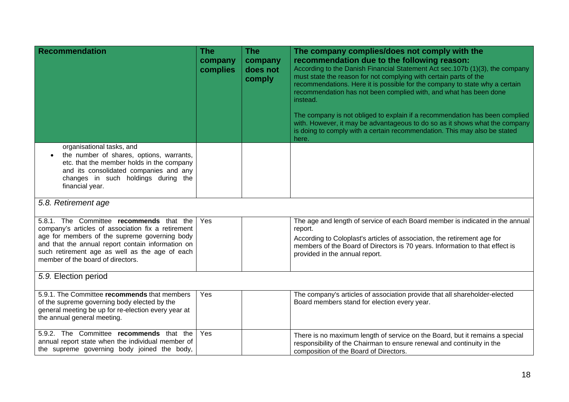| <b>Recommendation</b>                                                                                                                                                                                                                                                                       | <b>The</b><br>company<br>complies | <b>The</b><br>company<br>does not<br>comply | The company complies/does not comply with the<br>recommendation due to the following reason:<br>According to the Danish Financial Statement Act sec.107b (1)(3), the company<br>must state the reason for not complying with certain parts of the<br>recommendations. Here it is possible for the company to state why a certain<br>recommendation has not been complied with, and what has been done<br>instead.<br>The company is not obliged to explain if a recommendation has been complied<br>with. However, it may be advantageous to do so as it shows what the company<br>is doing to comply with a certain recommendation. This may also be stated<br>here. |
|---------------------------------------------------------------------------------------------------------------------------------------------------------------------------------------------------------------------------------------------------------------------------------------------|-----------------------------------|---------------------------------------------|-----------------------------------------------------------------------------------------------------------------------------------------------------------------------------------------------------------------------------------------------------------------------------------------------------------------------------------------------------------------------------------------------------------------------------------------------------------------------------------------------------------------------------------------------------------------------------------------------------------------------------------------------------------------------|
| organisational tasks, and<br>the number of shares, options, warrants,<br>etc. that the member holds in the company<br>and its consolidated companies and any<br>changes in such holdings during the<br>financial year.                                                                      |                                   |                                             |                                                                                                                                                                                                                                                                                                                                                                                                                                                                                                                                                                                                                                                                       |
| 5.8. Retirement age                                                                                                                                                                                                                                                                         |                                   |                                             |                                                                                                                                                                                                                                                                                                                                                                                                                                                                                                                                                                                                                                                                       |
| 5.8.1. The Committee recommends that the<br>company's articles of association fix a retirement<br>age for members of the supreme governing body<br>and that the annual report contain information on<br>such retirement age as well as the age of each<br>member of the board of directors. | Yes                               |                                             | The age and length of service of each Board member is indicated in the annual<br>report.<br>According to Coloplast's articles of association, the retirement age for<br>members of the Board of Directors is 70 years. Information to that effect is<br>provided in the annual report.                                                                                                                                                                                                                                                                                                                                                                                |
| 5.9. Election period                                                                                                                                                                                                                                                                        |                                   |                                             |                                                                                                                                                                                                                                                                                                                                                                                                                                                                                                                                                                                                                                                                       |
| 5.9.1. The Committee recommends that members<br>of the supreme governing body elected by the<br>general meeting be up for re-election every year at<br>the annual general meeting.                                                                                                          | Yes                               |                                             | The company's articles of association provide that all shareholder-elected<br>Board members stand for election every year.                                                                                                                                                                                                                                                                                                                                                                                                                                                                                                                                            |
| 5.9.2. The Committee recommends that the<br>annual report state when the individual member of<br>the supreme governing body joined the body,                                                                                                                                                | Yes                               |                                             | There is no maximum length of service on the Board, but it remains a special<br>responsibility of the Chairman to ensure renewal and continuity in the<br>composition of the Board of Directors.                                                                                                                                                                                                                                                                                                                                                                                                                                                                      |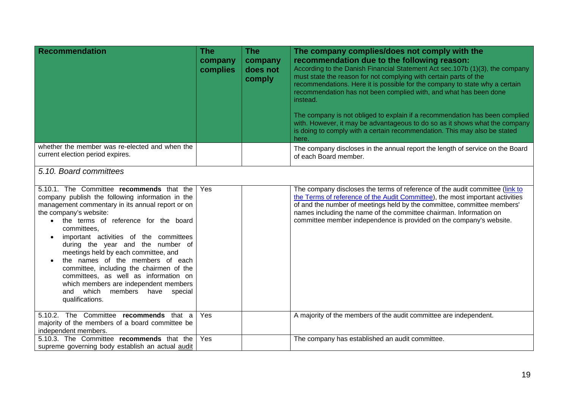| <b>Recommendation</b>                                                                                                                                                                                                                                                                                                                                                                                                                                                                                                                                                                        | <b>The</b><br>company<br>complies | <b>The</b><br>company<br>does not<br>comply | The company complies/does not comply with the<br>recommendation due to the following reason:<br>According to the Danish Financial Statement Act sec. 107b (1)(3), the company<br>must state the reason for not complying with certain parts of the<br>recommendations. Here it is possible for the company to state why a certain<br>recommendation has not been complied with, and what has been done<br>instead.<br>The company is not obliged to explain if a recommendation has been complied<br>with. However, it may be advantageous to do so as it shows what the company<br>is doing to comply with a certain recommendation. This may also be stated<br>here. |
|----------------------------------------------------------------------------------------------------------------------------------------------------------------------------------------------------------------------------------------------------------------------------------------------------------------------------------------------------------------------------------------------------------------------------------------------------------------------------------------------------------------------------------------------------------------------------------------------|-----------------------------------|---------------------------------------------|------------------------------------------------------------------------------------------------------------------------------------------------------------------------------------------------------------------------------------------------------------------------------------------------------------------------------------------------------------------------------------------------------------------------------------------------------------------------------------------------------------------------------------------------------------------------------------------------------------------------------------------------------------------------|
| whether the member was re-elected and when the<br>current election period expires.                                                                                                                                                                                                                                                                                                                                                                                                                                                                                                           |                                   |                                             | The company discloses in the annual report the length of service on the Board<br>of each Board member.                                                                                                                                                                                                                                                                                                                                                                                                                                                                                                                                                                 |
| 5.10. Board committees                                                                                                                                                                                                                                                                                                                                                                                                                                                                                                                                                                       |                                   |                                             |                                                                                                                                                                                                                                                                                                                                                                                                                                                                                                                                                                                                                                                                        |
| 5.10.1. The Committee recommends that the<br>company publish the following information in the<br>management commentary in its annual report or on<br>the company's website:<br>the terms of reference for the board<br>committees.<br>important activities of the committees<br>during the year and the number of<br>meetings held by each committee, and<br>the names of the members of each<br>committee, including the chairmen of the<br>committees, as well as information on<br>which members are independent members<br>which<br>members<br>and<br>have<br>special<br>qualifications. | Yes                               |                                             | The company discloses the terms of reference of the audit committee (link to<br>the Terms of reference of the Audit Committee), the most important activities<br>of and the number of meetings held by the committee, committee members'<br>names including the name of the committee chairman. Information on<br>committee member independence is provided on the company's website.                                                                                                                                                                                                                                                                                  |
| 5.10.2. The Committee recommends that a<br>majority of the members of a board committee be<br>independent members.                                                                                                                                                                                                                                                                                                                                                                                                                                                                           | Yes                               |                                             | A majority of the members of the audit committee are independent.                                                                                                                                                                                                                                                                                                                                                                                                                                                                                                                                                                                                      |
| 5.10.3. The Committee recommends that the<br>supreme governing body establish an actual audit                                                                                                                                                                                                                                                                                                                                                                                                                                                                                                | Yes                               |                                             | The company has established an audit committee.                                                                                                                                                                                                                                                                                                                                                                                                                                                                                                                                                                                                                        |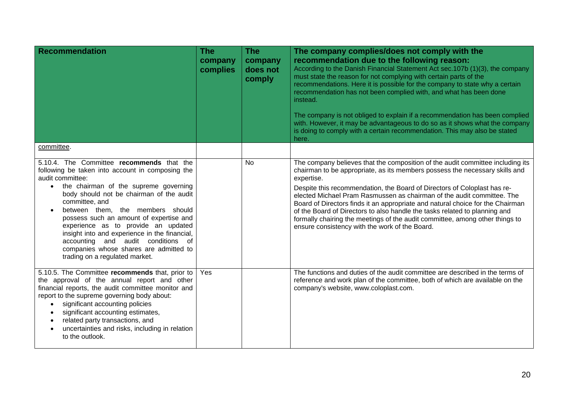| Recommendation                                                                                                                                                                                                                                                                                                                                                                                                                                                                                                                 | <b>The</b><br>company<br>complies | <b>The</b><br>company<br>does not<br>comply | The company complies/does not comply with the<br>recommendation due to the following reason:<br>According to the Danish Financial Statement Act sec.107b (1)(3), the company<br>must state the reason for not complying with certain parts of the<br>recommendations. Here it is possible for the company to state why a certain<br>recommendation has not been complied with, and what has been done<br>instead.<br>The company is not obliged to explain if a recommendation has been complied<br>with. However, it may be advantageous to do so as it shows what the company<br>is doing to comply with a certain recommendation. This may also be stated<br>here. |
|--------------------------------------------------------------------------------------------------------------------------------------------------------------------------------------------------------------------------------------------------------------------------------------------------------------------------------------------------------------------------------------------------------------------------------------------------------------------------------------------------------------------------------|-----------------------------------|---------------------------------------------|-----------------------------------------------------------------------------------------------------------------------------------------------------------------------------------------------------------------------------------------------------------------------------------------------------------------------------------------------------------------------------------------------------------------------------------------------------------------------------------------------------------------------------------------------------------------------------------------------------------------------------------------------------------------------|
| committee.                                                                                                                                                                                                                                                                                                                                                                                                                                                                                                                     |                                   |                                             |                                                                                                                                                                                                                                                                                                                                                                                                                                                                                                                                                                                                                                                                       |
| 5.10.4. The Committee recommends that the<br>following be taken into account in composing the<br>audit committee:<br>the chairman of the supreme governing<br>$\bullet$<br>body should not be chairman of the audit<br>committee, and<br>between them, the members should<br>possess such an amount of expertise and<br>experience as to provide an updated<br>insight into and experience in the financial,<br>accounting and audit conditions of<br>companies whose shares are admitted to<br>trading on a regulated market. |                                   | No                                          | The company believes that the composition of the audit committee including its<br>chairman to be appropriate, as its members possess the necessary skills and<br>expertise.<br>Despite this recommendation, the Board of Directors of Coloplast has re-<br>elected Michael Pram Rasmussen as chairman of the audit committee. The<br>Board of Directors finds it an appropriate and natural choice for the Chairman<br>of the Board of Directors to also handle the tasks related to planning and<br>formally chairing the meetings of the audit committee, among other things to<br>ensure consistency with the work of the Board.                                   |
| 5.10.5. The Committee recommends that, prior to<br>the approval of the annual report and other<br>financial reports, the audit committee monitor and<br>report to the supreme governing body about:<br>significant accounting policies<br>$\bullet$<br>significant accounting estimates,<br>$\bullet$<br>related party transactions, and<br>$\bullet$<br>uncertainties and risks, including in relation<br>$\bullet$<br>to the outlook.                                                                                        | Yes                               |                                             | The functions and duties of the audit committee are described in the terms of<br>reference and work plan of the committee, both of which are available on the<br>company's website, www.coloplast.com.                                                                                                                                                                                                                                                                                                                                                                                                                                                                |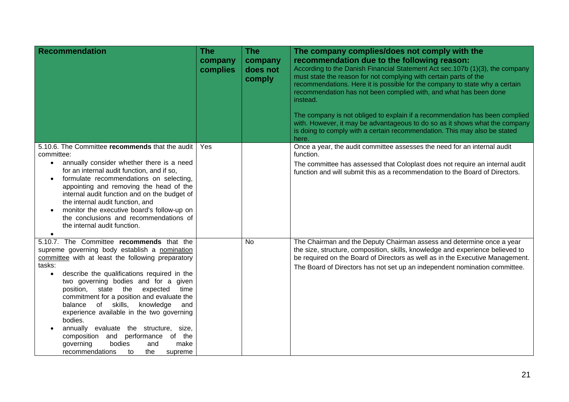| <b>Recommendation</b>                                                                                                                                                                                                                                                                                                                                                                                                                                                                                                                                                                                                              | <b>The</b><br>company<br>complies | <b>The</b><br>company<br>does not<br>comply | The company complies/does not comply with the<br>recommendation due to the following reason:<br>According to the Danish Financial Statement Act sec.107b (1)(3), the company<br>must state the reason for not complying with certain parts of the<br>recommendations. Here it is possible for the company to state why a certain<br>recommendation has not been complied with, and what has been done<br>instead.<br>The company is not obliged to explain if a recommendation has been complied<br>with. However, it may be advantageous to do so as it shows what the company<br>is doing to comply with a certain recommendation. This may also be stated<br>here. |
|------------------------------------------------------------------------------------------------------------------------------------------------------------------------------------------------------------------------------------------------------------------------------------------------------------------------------------------------------------------------------------------------------------------------------------------------------------------------------------------------------------------------------------------------------------------------------------------------------------------------------------|-----------------------------------|---------------------------------------------|-----------------------------------------------------------------------------------------------------------------------------------------------------------------------------------------------------------------------------------------------------------------------------------------------------------------------------------------------------------------------------------------------------------------------------------------------------------------------------------------------------------------------------------------------------------------------------------------------------------------------------------------------------------------------|
| 5.10.6. The Committee recommends that the audit<br>committee:<br>annually consider whether there is a need<br>$\bullet$<br>for an internal audit function, and if so,<br>formulate recommendations on selecting,<br>$\bullet$<br>appointing and removing the head of the<br>internal audit function and on the budget of<br>the internal audit function, and<br>monitor the executive board's follow-up on<br>the conclusions and recommendations of<br>the internal audit function.<br>$\bullet$                                                                                                                                  | Yes                               |                                             | Once a year, the audit committee assesses the need for an internal audit<br>function.<br>The committee has assessed that Coloplast does not require an internal audit<br>function and will submit this as a recommendation to the Board of Directors.                                                                                                                                                                                                                                                                                                                                                                                                                 |
| 5.10.7. The Committee recommends that the<br>supreme governing body establish a nomination<br>committee with at least the following preparatory<br>tasks:<br>describe the qualifications required in the<br>$\bullet$<br>two governing bodies and for a given<br>state the<br>position,<br>expected<br>time<br>commitment for a position and evaluate the<br>of skills,<br>knowledge<br>balance<br>and<br>experience available in the two governing<br>bodies.<br>annually evaluate the structure, size,<br>composition and performance<br>of the<br>governing<br>bodies<br>make<br>and<br>recommendations<br>the<br>supreme<br>to |                                   | <b>No</b>                                   | The Chairman and the Deputy Chairman assess and determine once a year<br>the size, structure, composition, skills, knowledge and experience believed to<br>be required on the Board of Directors as well as in the Executive Management.<br>The Board of Directors has not set up an independent nomination committee.                                                                                                                                                                                                                                                                                                                                                |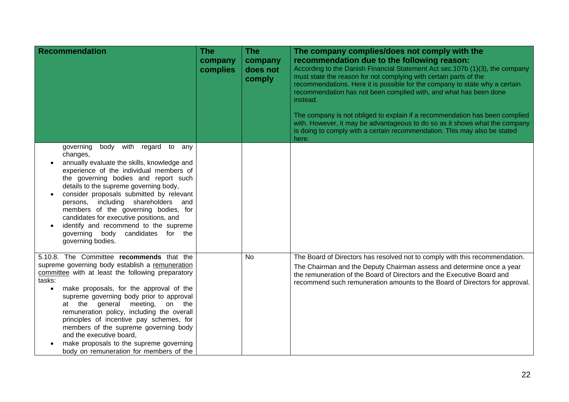| <b>Recommendation</b>                                                                                                                                                                                                                                                                                                                                                                                                                                                                                                                                     | <b>The</b><br>company<br>complies | <b>The</b><br>company<br>does not<br>comply | The company complies/does not comply with the<br>recommendation due to the following reason:<br>According to the Danish Financial Statement Act sec.107b (1)(3), the company<br>must state the reason for not complying with certain parts of the<br>recommendations. Here it is possible for the company to state why a certain<br>recommendation has not been complied with, and what has been done<br>instead.<br>The company is not obliged to explain if a recommendation has been complied<br>with. However, it may be advantageous to do so as it shows what the company<br>is doing to comply with a certain recommendation. This may also be stated |
|-----------------------------------------------------------------------------------------------------------------------------------------------------------------------------------------------------------------------------------------------------------------------------------------------------------------------------------------------------------------------------------------------------------------------------------------------------------------------------------------------------------------------------------------------------------|-----------------------------------|---------------------------------------------|--------------------------------------------------------------------------------------------------------------------------------------------------------------------------------------------------------------------------------------------------------------------------------------------------------------------------------------------------------------------------------------------------------------------------------------------------------------------------------------------------------------------------------------------------------------------------------------------------------------------------------------------------------------|
| with<br>governing<br>body<br>regard to<br>any<br>changes,<br>annually evaluate the skills, knowledge and<br>experience of the individual members of<br>the governing bodies and report such<br>details to the supreme governing body,<br>consider proposals submitted by relevant<br>persons, including shareholders<br>and<br>members of the governing bodies, for<br>candidates for executive positions, and<br>identify and recommend to the supreme<br>governing body candidates for the<br>governing bodies.                                         |                                   |                                             | here.                                                                                                                                                                                                                                                                                                                                                                                                                                                                                                                                                                                                                                                        |
| 5.10.8. The Committee recommends that the<br>supreme governing body establish a remuneration<br>committee with at least the following preparatory<br>tasks:<br>make proposals, for the approval of the<br>$\bullet$<br>supreme governing body prior to approval<br>at the general meeting,<br>on the<br>remuneration policy, including the overall<br>principles of incentive pay schemes, for<br>members of the supreme governing body<br>and the executive board,<br>make proposals to the supreme governing<br>body on remuneration for members of the |                                   | <b>No</b>                                   | The Board of Directors has resolved not to comply with this recommendation.<br>The Chairman and the Deputy Chairman assess and determine once a year<br>the remuneration of the Board of Directors and the Executive Board and<br>recommend such remuneration amounts to the Board of Directors for approval.                                                                                                                                                                                                                                                                                                                                                |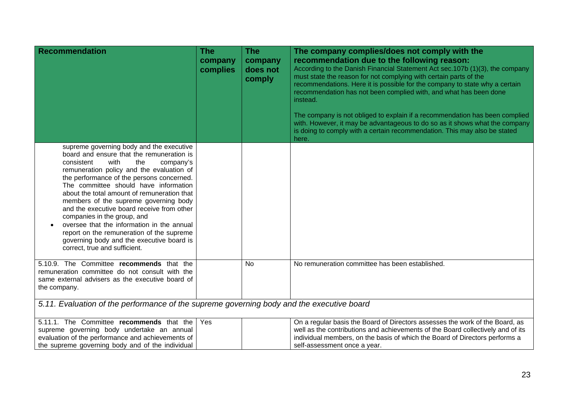| <b>Recommendation</b><br>supreme governing body and the executive                                                                                                                                                                                                                                                                                                                                                                                                                                                                                                    | <b>The</b><br>company<br>complies | <b>The</b><br>company<br>does not<br>comply | The company complies/does not comply with the<br>recommendation due to the following reason:<br>According to the Danish Financial Statement Act sec.107b (1)(3), the company<br>must state the reason for not complying with certain parts of the<br>recommendations. Here it is possible for the company to state why a certain<br>recommendation has not been complied with, and what has been done<br>instead.<br>The company is not obliged to explain if a recommendation has been complied<br>with. However, it may be advantageous to do so as it shows what the company<br>is doing to comply with a certain recommendation. This may also be stated<br>here. |
|----------------------------------------------------------------------------------------------------------------------------------------------------------------------------------------------------------------------------------------------------------------------------------------------------------------------------------------------------------------------------------------------------------------------------------------------------------------------------------------------------------------------------------------------------------------------|-----------------------------------|---------------------------------------------|-----------------------------------------------------------------------------------------------------------------------------------------------------------------------------------------------------------------------------------------------------------------------------------------------------------------------------------------------------------------------------------------------------------------------------------------------------------------------------------------------------------------------------------------------------------------------------------------------------------------------------------------------------------------------|
| board and ensure that the remuneration is<br>consistent<br>with<br>the<br>company's<br>remuneration policy and the evaluation of<br>the performance of the persons concerned.<br>The committee should have information<br>about the total amount of remuneration that<br>members of the supreme governing body<br>and the executive board receive from other<br>companies in the group, and<br>oversee that the information in the annual<br>report on the remuneration of the supreme<br>governing body and the executive board is<br>correct, true and sufficient. |                                   |                                             |                                                                                                                                                                                                                                                                                                                                                                                                                                                                                                                                                                                                                                                                       |
| 5.10.9. The Committee recommends that the<br>remuneration committee do not consult with the<br>same external advisers as the executive board of<br>the company.                                                                                                                                                                                                                                                                                                                                                                                                      |                                   | No                                          | No remuneration committee has been established.                                                                                                                                                                                                                                                                                                                                                                                                                                                                                                                                                                                                                       |
| 5.11. Evaluation of the performance of the supreme governing body and the executive board                                                                                                                                                                                                                                                                                                                                                                                                                                                                            |                                   |                                             |                                                                                                                                                                                                                                                                                                                                                                                                                                                                                                                                                                                                                                                                       |
| 5.11.1. The Committee recommends that the<br>supreme governing body undertake an annual<br>evaluation of the performance and achievements of<br>the supreme governing body and of the individual                                                                                                                                                                                                                                                                                                                                                                     | Yes                               |                                             | On a regular basis the Board of Directors assesses the work of the Board, as<br>well as the contributions and achievements of the Board collectively and of its<br>individual members, on the basis of which the Board of Directors performs a<br>self-assessment once a year.                                                                                                                                                                                                                                                                                                                                                                                        |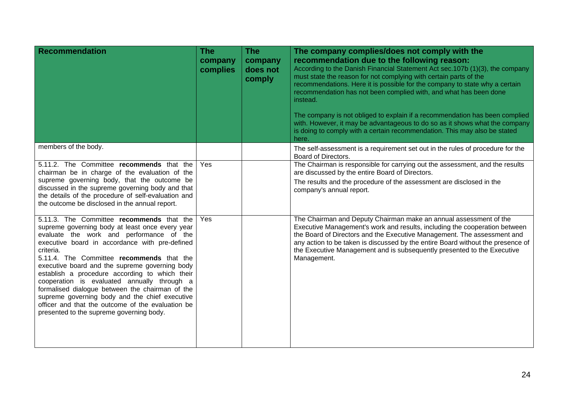| <b>Recommendation</b>                                                                                                                                                                                                                                                                                                                                                                                                                                                                                                                                                                                         | <b>The</b><br>company<br>complies | <b>The</b><br>company<br>does not<br>comply | The company complies/does not comply with the<br>recommendation due to the following reason:<br>According to the Danish Financial Statement Act sec. 107b (1)(3), the company<br>must state the reason for not complying with certain parts of the<br>recommendations. Here it is possible for the company to state why a certain<br>recommendation has not been complied with, and what has been done<br>instead.<br>The company is not obliged to explain if a recommendation has been complied<br>with. However, it may be advantageous to do so as it shows what the company<br>is doing to comply with a certain recommendation. This may also be stated<br>here. |
|---------------------------------------------------------------------------------------------------------------------------------------------------------------------------------------------------------------------------------------------------------------------------------------------------------------------------------------------------------------------------------------------------------------------------------------------------------------------------------------------------------------------------------------------------------------------------------------------------------------|-----------------------------------|---------------------------------------------|------------------------------------------------------------------------------------------------------------------------------------------------------------------------------------------------------------------------------------------------------------------------------------------------------------------------------------------------------------------------------------------------------------------------------------------------------------------------------------------------------------------------------------------------------------------------------------------------------------------------------------------------------------------------|
| members of the body.                                                                                                                                                                                                                                                                                                                                                                                                                                                                                                                                                                                          |                                   |                                             | The self-assessment is a requirement set out in the rules of procedure for the<br>Board of Directors.                                                                                                                                                                                                                                                                                                                                                                                                                                                                                                                                                                  |
| 5.11.2. The Committee recommends that the<br>chairman be in charge of the evaluation of the<br>supreme governing body, that the outcome be<br>discussed in the supreme governing body and that<br>the details of the procedure of self-evaluation and<br>the outcome be disclosed in the annual report.                                                                                                                                                                                                                                                                                                       | Yes                               |                                             | The Chairman is responsible for carrying out the assessment, and the results<br>are discussed by the entire Board of Directors.<br>The results and the procedure of the assessment are disclosed in the<br>company's annual report.                                                                                                                                                                                                                                                                                                                                                                                                                                    |
| 5.11.3. The Committee recommends that the<br>supreme governing body at least once every year<br>evaluate the work and performance of the<br>executive board in accordance with pre-defined<br>criteria.<br>5.11.4. The Committee recommends that the<br>executive board and the supreme governing body<br>establish a procedure according to which their<br>cooperation is evaluated annually through a<br>formalised dialogue between the chairman of the<br>supreme governing body and the chief executive<br>officer and that the outcome of the evaluation be<br>presented to the supreme governing body. | Yes                               |                                             | The Chairman and Deputy Chairman make an annual assessment of the<br>Executive Management's work and results, including the cooperation between<br>the Board of Directors and the Executive Management. The assessment and<br>any action to be taken is discussed by the entire Board without the presence of<br>the Executive Management and is subsequently presented to the Executive<br>Management.                                                                                                                                                                                                                                                                |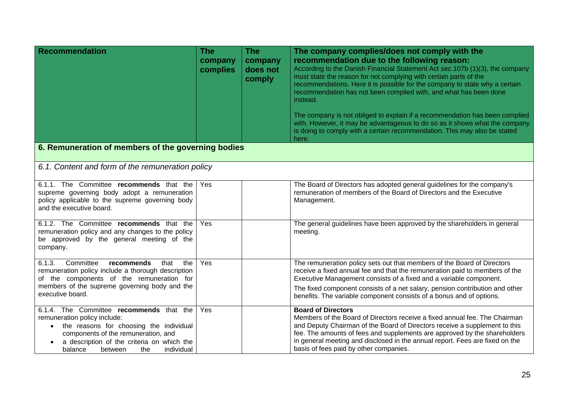| <b>Recommendation</b>                                                                                                                                                                                                                                                         | <b>The</b><br>company<br>complies | <b>The</b><br>company<br>does not<br>comply | The company complies/does not comply with the<br>recommendation due to the following reason:<br>According to the Danish Financial Statement Act sec. 107b (1)(3), the company<br>must state the reason for not complying with certain parts of the<br>recommendations. Here it is possible for the company to state why a certain<br>recommendation has not been complied with, and what has been done<br>instead.<br>The company is not obliged to explain if a recommendation has been complied<br>with. However, it may be advantageous to do so as it shows what the company<br>is doing to comply with a certain recommendation. This may also be stated<br>here. |
|-------------------------------------------------------------------------------------------------------------------------------------------------------------------------------------------------------------------------------------------------------------------------------|-----------------------------------|---------------------------------------------|------------------------------------------------------------------------------------------------------------------------------------------------------------------------------------------------------------------------------------------------------------------------------------------------------------------------------------------------------------------------------------------------------------------------------------------------------------------------------------------------------------------------------------------------------------------------------------------------------------------------------------------------------------------------|
| 6. Remuneration of members of the governing bodies                                                                                                                                                                                                                            |                                   |                                             |                                                                                                                                                                                                                                                                                                                                                                                                                                                                                                                                                                                                                                                                        |
| 6.1. Content and form of the remuneration policy                                                                                                                                                                                                                              |                                   |                                             |                                                                                                                                                                                                                                                                                                                                                                                                                                                                                                                                                                                                                                                                        |
| 6.1.1. The Committee recommends that the<br>supreme governing body adopt a remuneration<br>policy applicable to the supreme governing body<br>and the executive board.                                                                                                        | Yes                               |                                             | The Board of Directors has adopted general guidelines for the company's<br>remuneration of members of the Board of Directors and the Executive<br>Management.                                                                                                                                                                                                                                                                                                                                                                                                                                                                                                          |
| 6.1.2. The Committee recommends that the<br>remuneration policy and any changes to the policy<br>be approved by the general meeting of the<br>company.                                                                                                                        | Yes                               |                                             | The general guidelines have been approved by the shareholders in general<br>meeting.                                                                                                                                                                                                                                                                                                                                                                                                                                                                                                                                                                                   |
| Committee<br>6.1.3.<br>recommends<br>that<br>the<br>remuneration policy include a thorough description<br>of the components of the remuneration for<br>members of the supreme governing body and the<br>executive board.                                                      | Yes                               |                                             | The remuneration policy sets out that members of the Board of Directors<br>receive a fixed annual fee and that the remuneration paid to members of the<br>Executive Management consists of a fixed and a variable component.<br>The fixed component consists of a net salary, pension contribution and other<br>benefits. The variable component consists of a bonus and of options.                                                                                                                                                                                                                                                                                   |
| 6.1.4. The Committee recommends that the<br>remuneration policy include:<br>the reasons for choosing the individual<br>$\bullet$<br>components of the remuneration, and<br>a description of the criteria on which the<br>$\bullet$<br>individual<br>the<br>balance<br>between | Yes                               |                                             | <b>Board of Directors</b><br>Members of the Board of Directors receive a fixed annual fee. The Chairman<br>and Deputy Chairman of the Board of Directors receive a supplement to this<br>fee. The amounts of fees and supplements are approved by the shareholders<br>in general meeting and disclosed in the annual report. Fees are fixed on the<br>basis of fees paid by other companies.                                                                                                                                                                                                                                                                           |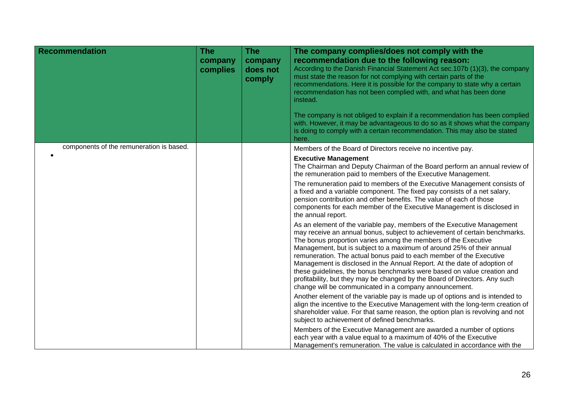| <b>Recommendation</b>                    | <b>The</b><br>company<br>complies | <b>The</b><br>company<br>does not<br>comply | The company complies/does not comply with the<br>recommendation due to the following reason:<br>According to the Danish Financial Statement Act sec.107b (1)(3), the company<br>must state the reason for not complying with certain parts of the<br>recommendations. Here it is possible for the company to state why a certain<br>recommendation has not been complied with, and what has been done<br>instead.<br>The company is not obliged to explain if a recommendation has been complied<br>with. However, it may be advantageous to do so as it shows what the company<br>is doing to comply with a certain recommendation. This may also be stated<br>here. |
|------------------------------------------|-----------------------------------|---------------------------------------------|-----------------------------------------------------------------------------------------------------------------------------------------------------------------------------------------------------------------------------------------------------------------------------------------------------------------------------------------------------------------------------------------------------------------------------------------------------------------------------------------------------------------------------------------------------------------------------------------------------------------------------------------------------------------------|
| components of the remuneration is based. |                                   |                                             | Members of the Board of Directors receive no incentive pay.                                                                                                                                                                                                                                                                                                                                                                                                                                                                                                                                                                                                           |
|                                          |                                   |                                             | <b>Executive Management</b><br>The Chairman and Deputy Chairman of the Board perform an annual review of<br>the remuneration paid to members of the Executive Management.                                                                                                                                                                                                                                                                                                                                                                                                                                                                                             |
|                                          |                                   |                                             | The remuneration paid to members of the Executive Management consists of<br>a fixed and a variable component. The fixed pay consists of a net salary,<br>pension contribution and other benefits. The value of each of those<br>components for each member of the Executive Management is disclosed in<br>the annual report.                                                                                                                                                                                                                                                                                                                                          |
|                                          |                                   |                                             | As an element of the variable pay, members of the Executive Management<br>may receive an annual bonus, subject to achievement of certain benchmarks.<br>The bonus proportion varies among the members of the Executive<br>Management, but is subject to a maximum of around 25% of their annual<br>remuneration. The actual bonus paid to each member of the Executive<br>Management is disclosed in the Annual Report. At the date of adoption of<br>these guidelines, the bonus benchmarks were based on value creation and<br>profitability, but they may be changed by the Board of Directors. Any such<br>change will be communicated in a company announcement. |
|                                          |                                   |                                             | Another element of the variable pay is made up of options and is intended to<br>align the incentive to the Executive Management with the long-term creation of<br>shareholder value. For that same reason, the option plan is revolving and not<br>subject to achievement of defined benchmarks.<br>Members of the Executive Management are awarded a number of options                                                                                                                                                                                                                                                                                               |
|                                          |                                   |                                             | each year with a value equal to a maximum of 40% of the Executive<br>Management's remuneration. The value is calculated in accordance with the                                                                                                                                                                                                                                                                                                                                                                                                                                                                                                                        |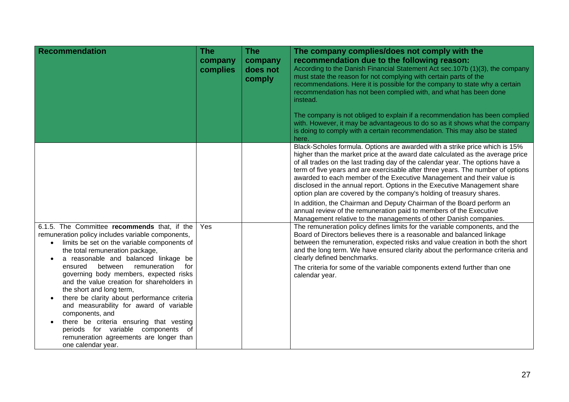| <b>Recommendation</b>                                                                                                                                                                                                                    | <b>The</b><br>company<br>complies | <b>The</b><br>company<br>does not<br>comply | The company complies/does not comply with the<br>recommendation due to the following reason:<br>According to the Danish Financial Statement Act sec.107b (1)(3), the company<br>must state the reason for not complying with certain parts of the<br>recommendations. Here it is possible for the company to state why a certain                                                                                                                                                                                                                                 |
|------------------------------------------------------------------------------------------------------------------------------------------------------------------------------------------------------------------------------------------|-----------------------------------|---------------------------------------------|------------------------------------------------------------------------------------------------------------------------------------------------------------------------------------------------------------------------------------------------------------------------------------------------------------------------------------------------------------------------------------------------------------------------------------------------------------------------------------------------------------------------------------------------------------------|
|                                                                                                                                                                                                                                          |                                   |                                             | recommendation has not been complied with, and what has been done<br>instead.                                                                                                                                                                                                                                                                                                                                                                                                                                                                                    |
|                                                                                                                                                                                                                                          |                                   |                                             | The company is not obliged to explain if a recommendation has been complied<br>with. However, it may be advantageous to do so as it shows what the company<br>is doing to comply with a certain recommendation. This may also be stated<br>here.                                                                                                                                                                                                                                                                                                                 |
|                                                                                                                                                                                                                                          |                                   |                                             | Black-Scholes formula. Options are awarded with a strike price which is 15%<br>higher than the market price at the award date calculated as the average price<br>of all trades on the last trading day of the calendar year. The options have a<br>term of five years and are exercisable after three years. The number of options<br>awarded to each member of the Executive Management and their value is<br>disclosed in the annual report. Options in the Executive Management share<br>option plan are covered by the company's holding of treasury shares. |
|                                                                                                                                                                                                                                          |                                   |                                             | In addition, the Chairman and Deputy Chairman of the Board perform an<br>annual review of the remuneration paid to members of the Executive<br>Management relative to the managements of other Danish companies.                                                                                                                                                                                                                                                                                                                                                 |
| 6.1.5. The Committee recommends that, if the<br>remuneration policy includes variable components,<br>limits be set on the variable components of<br>$\bullet$<br>the total remuneration package,<br>a reasonable and balanced linkage be | Yes                               |                                             | The remuneration policy defines limits for the variable components, and the<br>Board of Directors believes there is a reasonable and balanced linkage<br>between the remuneration, expected risks and value creation in both the short<br>and the long term. We have ensured clarity about the performance criteria and<br>clearly defined benchmarks.                                                                                                                                                                                                           |
| between<br>remuneration<br>for<br>ensured<br>governing body members, expected risks<br>and the value creation for shareholders in<br>the short and long term,<br>there be clarity about performance criteria                             |                                   |                                             | The criteria for some of the variable components extend further than one<br>calendar year.                                                                                                                                                                                                                                                                                                                                                                                                                                                                       |
| and measurability for award of variable<br>components, and<br>there be criteria ensuring that vesting<br>periods for variable components of<br>remuneration agreements are longer than<br>one calendar year.                             |                                   |                                             |                                                                                                                                                                                                                                                                                                                                                                                                                                                                                                                                                                  |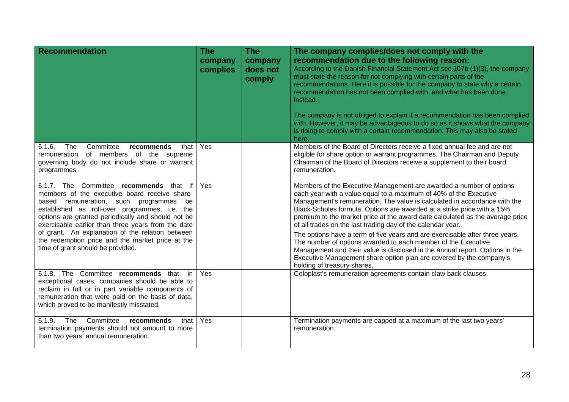| <b>Recommendation</b>                                                                                                                                                                                                                                                                                 | <b>The</b><br>company<br>complies | <b>The</b><br>company<br>does not<br>comply | The company complies/does not comply with the<br>recommendation due to the following reason:<br>According to the Danish Financial Statement Act sec.107b (1)(3), the company<br>must state the reason for not complying with certain parts of the<br>recommendations. Here it is possible for the company to state why a certain<br>recommendation has not been complied with, and what has been done<br>instead.<br>The company is not obliged to explain if a recommendation has been complied<br>with. However, it may be advantageous to do so as it shows what the company<br>is doing to comply with a certain recommendation. This may also be stated<br>here. |
|-------------------------------------------------------------------------------------------------------------------------------------------------------------------------------------------------------------------------------------------------------------------------------------------------------|-----------------------------------|---------------------------------------------|-----------------------------------------------------------------------------------------------------------------------------------------------------------------------------------------------------------------------------------------------------------------------------------------------------------------------------------------------------------------------------------------------------------------------------------------------------------------------------------------------------------------------------------------------------------------------------------------------------------------------------------------------------------------------|
| 6.1.6.<br>The<br>Committee<br>recommends<br>that<br>remuneration of members of the supreme<br>governing body do not include share or warrant<br>programmes.                                                                                                                                           | Yes                               |                                             | Members of the Board of Directors receive a fixed annual fee and are not<br>eligible for share option or warrant programmes. The Chairman and Deputy<br>Chairman of the Board of Directors receive a supplement to their board<br>remuneration.                                                                                                                                                                                                                                                                                                                                                                                                                       |
| 6.1.7. The Committee recommends that<br>if<br>members of the executive board receive share-<br>based remuneration, such programmes<br>be<br>established as roll-over programmes, i.e. the<br>options are granted periodically and should not be<br>exercisable earlier than three years from the date | Yes                               |                                             | Members of the Executive Management are awarded a number of options<br>each year with a value equal to a maximum of 40% of the Executive<br>Management's remuneration. The value is calculated in accordance with the<br>Black-Scholes formula. Options are awarded at a strike price with a 15%<br>premium to the market price at the award date calculated as the average price<br>of all trades on the last trading day of the calendar year.                                                                                                                                                                                                                      |
| of grant. An explanation of the relation between<br>the redemption price and the market price at the<br>time of grant should be provided.                                                                                                                                                             |                                   |                                             | The options have a term of five years and are exercisable after three years.<br>The number of options awarded to each member of the Executive<br>Management and their value is disclosed in the annual report. Options in the<br>Executive Management share option plan are covered by the company's<br>holding of treasury shares.                                                                                                                                                                                                                                                                                                                                   |
| 6.1.8. The Committee recommends that,<br>in<br>exceptional cases, companies should be able to<br>reclaim in full or in part variable components of<br>remuneration that were paid on the basis of data,<br>which proved to be manifestly misstated.                                                   | Yes                               |                                             | Coloplast's remuneration agreements contain claw back clauses.                                                                                                                                                                                                                                                                                                                                                                                                                                                                                                                                                                                                        |
| 6.1.9.<br>The<br>Committee<br>recommends<br>that<br>termination payments should not amount to more<br>than two years' annual remuneration.                                                                                                                                                            | Yes                               |                                             | Termination payments are capped at a maximum of the last two years'<br>remuneration.                                                                                                                                                                                                                                                                                                                                                                                                                                                                                                                                                                                  |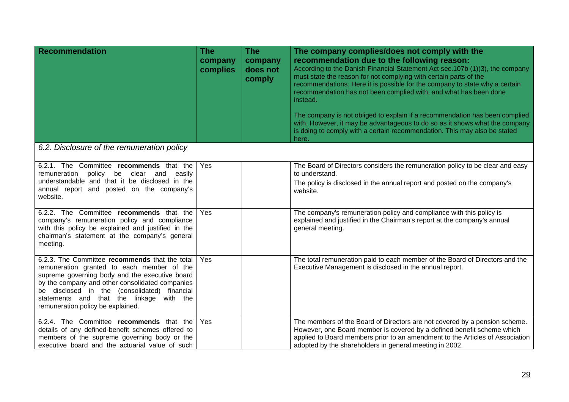| <b>Recommendation</b>                                                                                                                                                                                                                                                                                                                 | <b>The</b><br>company<br>complies | <b>The</b><br>company<br>does not<br>comply | The company complies/does not comply with the<br>recommendation due to the following reason:<br>According to the Danish Financial Statement Act sec.107b (1)(3), the company<br>must state the reason for not complying with certain parts of the<br>recommendations. Here it is possible for the company to state why a certain<br>recommendation has not been complied with, and what has been done<br>instead.<br>The company is not obliged to explain if a recommendation has been complied<br>with. However, it may be advantageous to do so as it shows what the company<br>is doing to comply with a certain recommendation. This may also be stated<br>here. |
|---------------------------------------------------------------------------------------------------------------------------------------------------------------------------------------------------------------------------------------------------------------------------------------------------------------------------------------|-----------------------------------|---------------------------------------------|-----------------------------------------------------------------------------------------------------------------------------------------------------------------------------------------------------------------------------------------------------------------------------------------------------------------------------------------------------------------------------------------------------------------------------------------------------------------------------------------------------------------------------------------------------------------------------------------------------------------------------------------------------------------------|
| 6.2. Disclosure of the remuneration policy                                                                                                                                                                                                                                                                                            |                                   |                                             |                                                                                                                                                                                                                                                                                                                                                                                                                                                                                                                                                                                                                                                                       |
| 6.2.1. The Committee recommends that the<br>remuneration policy be<br>clear and<br>easily<br>understandable and that it be disclosed in the<br>annual report and posted on the company's<br>website.                                                                                                                                  | Yes                               |                                             | The Board of Directors considers the remuneration policy to be clear and easy<br>to understand.<br>The policy is disclosed in the annual report and posted on the company's<br>website.                                                                                                                                                                                                                                                                                                                                                                                                                                                                               |
| 6.2.2. The Committee recommends that the<br>company's remuneration policy and compliance<br>with this policy be explained and justified in the<br>chairman's statement at the company's general<br>meeting.                                                                                                                           | Yes                               |                                             | The company's remuneration policy and compliance with this policy is<br>explained and justified in the Chairman's report at the company's annual<br>general meeting.                                                                                                                                                                                                                                                                                                                                                                                                                                                                                                  |
| 6.2.3. The Committee recommends that the total<br>remuneration granted to each member of the<br>supreme governing body and the executive board<br>by the company and other consolidated companies<br>be disclosed in the (consolidated)<br>financial<br>statements and that the linkage with the<br>remuneration policy be explained. | Yes                               |                                             | The total remuneration paid to each member of the Board of Directors and the<br>Executive Management is disclosed in the annual report.                                                                                                                                                                                                                                                                                                                                                                                                                                                                                                                               |
| 6.2.4. The Committee recommends that the<br>details of any defined-benefit schemes offered to<br>members of the supreme governing body or the<br>executive board and the actuarial value of such                                                                                                                                      | Yes                               |                                             | The members of the Board of Directors are not covered by a pension scheme.<br>However, one Board member is covered by a defined benefit scheme which<br>applied to Board members prior to an amendment to the Articles of Association<br>adopted by the shareholders in general meeting in 2002.                                                                                                                                                                                                                                                                                                                                                                      |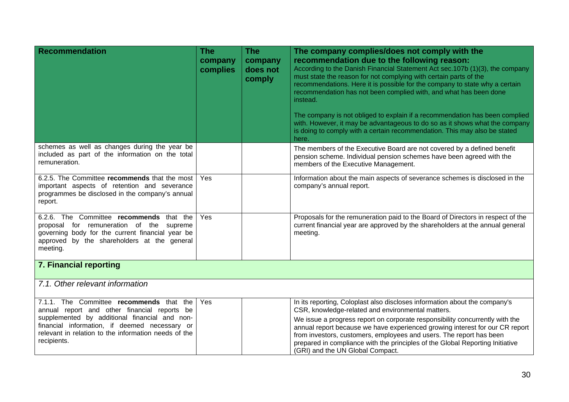| <b>Recommendation</b>                                                                                                                                                                                                                                             | <b>The</b><br>company<br>complies | <b>The</b><br>company<br>does not<br>comply | The company complies/does not comply with the<br>recommendation due to the following reason:<br>According to the Danish Financial Statement Act sec.107b (1)(3), the company<br>must state the reason for not complying with certain parts of the<br>recommendations. Here it is possible for the company to state why a certain<br>recommendation has not been complied with, and what has been done<br>instead.<br>The company is not obliged to explain if a recommendation has been complied<br>with. However, it may be advantageous to do so as it shows what the company<br>is doing to comply with a certain recommendation. This may also be stated<br>here. |
|-------------------------------------------------------------------------------------------------------------------------------------------------------------------------------------------------------------------------------------------------------------------|-----------------------------------|---------------------------------------------|-----------------------------------------------------------------------------------------------------------------------------------------------------------------------------------------------------------------------------------------------------------------------------------------------------------------------------------------------------------------------------------------------------------------------------------------------------------------------------------------------------------------------------------------------------------------------------------------------------------------------------------------------------------------------|
| schemes as well as changes during the year be<br>included as part of the information on the total<br>remuneration.                                                                                                                                                |                                   |                                             | The members of the Executive Board are not covered by a defined benefit<br>pension scheme. Individual pension schemes have been agreed with the<br>members of the Executive Management.                                                                                                                                                                                                                                                                                                                                                                                                                                                                               |
| 6.2.5. The Committee recommends that the most<br>important aspects of retention and severance<br>programmes be disclosed in the company's annual<br>report.                                                                                                       | Yes                               |                                             | Information about the main aspects of severance schemes is disclosed in the<br>company's annual report.                                                                                                                                                                                                                                                                                                                                                                                                                                                                                                                                                               |
| 6.2.6. The Committee recommends that the<br>proposal for remuneration of the supreme<br>governing body for the current financial year be<br>approved by the shareholders at the general<br>meeting.                                                               | Yes                               |                                             | Proposals for the remuneration paid to the Board of Directors in respect of the<br>current financial year are approved by the shareholders at the annual general<br>meeting.                                                                                                                                                                                                                                                                                                                                                                                                                                                                                          |
| <b>7. Financial reporting</b>                                                                                                                                                                                                                                     |                                   |                                             |                                                                                                                                                                                                                                                                                                                                                                                                                                                                                                                                                                                                                                                                       |
| 7.1. Other relevant information                                                                                                                                                                                                                                   |                                   |                                             |                                                                                                                                                                                                                                                                                                                                                                                                                                                                                                                                                                                                                                                                       |
| 7.1.1. The Committee recommends that the<br>annual report and other financial reports be<br>supplemented by additional financial and non-<br>financial information, if deemed necessary or<br>relevant in relation to the information needs of the<br>recipients. | Yes                               |                                             | In its reporting, Coloplast also discloses information about the company's<br>CSR, knowledge-related and environmental matters.<br>We issue a progress report on corporate responsibility concurrently with the<br>annual report because we have experienced growing interest for our CR report<br>from investors, customers, employees and users. The report has been<br>prepared in compliance with the principles of the Global Reporting Initiative<br>(GRI) and the UN Global Compact.                                                                                                                                                                           |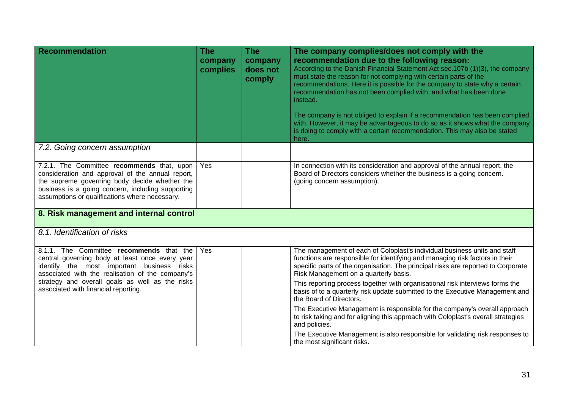| <b>Recommendation</b>                                                                                                                                                                                                                                                                    | <b>The</b><br>company<br>complies | <b>The</b><br>company<br>does not<br>comply | The company complies/does not comply with the<br>recommendation due to the following reason:<br>According to the Danish Financial Statement Act sec.107b (1)(3), the company<br>must state the reason for not complying with certain parts of the<br>recommendations. Here it is possible for the company to state why a certain<br>recommendation has not been complied with, and what has been done<br>instead.<br>The company is not obliged to explain if a recommendation has been complied<br>with. However, it may be advantageous to do so as it shows what the company<br>is doing to comply with a certain recommendation. This may also be stated<br>here.                                                                                     |
|------------------------------------------------------------------------------------------------------------------------------------------------------------------------------------------------------------------------------------------------------------------------------------------|-----------------------------------|---------------------------------------------|-----------------------------------------------------------------------------------------------------------------------------------------------------------------------------------------------------------------------------------------------------------------------------------------------------------------------------------------------------------------------------------------------------------------------------------------------------------------------------------------------------------------------------------------------------------------------------------------------------------------------------------------------------------------------------------------------------------------------------------------------------------|
| 7.2. Going concern assumption                                                                                                                                                                                                                                                            |                                   |                                             |                                                                                                                                                                                                                                                                                                                                                                                                                                                                                                                                                                                                                                                                                                                                                           |
| 7.2.1. The Committee recommends that, upon<br>consideration and approval of the annual report,<br>the supreme governing body decide whether the<br>business is a going concern, including supporting<br>assumptions or qualifications where necessary.                                   | Yes                               |                                             | In connection with its consideration and approval of the annual report, the<br>Board of Directors considers whether the business is a going concern.<br>(going concern assumption).                                                                                                                                                                                                                                                                                                                                                                                                                                                                                                                                                                       |
| 8. Risk management and internal control                                                                                                                                                                                                                                                  |                                   |                                             |                                                                                                                                                                                                                                                                                                                                                                                                                                                                                                                                                                                                                                                                                                                                                           |
| 8.1. Identification of risks                                                                                                                                                                                                                                                             |                                   |                                             |                                                                                                                                                                                                                                                                                                                                                                                                                                                                                                                                                                                                                                                                                                                                                           |
| 8.1.1. The Committee recommends that the<br>central governing body at least once every year<br>identify the most important business risks<br>associated with the realisation of the company's<br>strategy and overall goals as well as the risks<br>associated with financial reporting. | Yes                               |                                             | The management of each of Coloplast's individual business units and staff<br>functions are responsible for identifying and managing risk factors in their<br>specific parts of the organisation. The principal risks are reported to Corporate<br>Risk Management on a quarterly basis.<br>This reporting process together with organisational risk interviews forms the<br>basis of to a quarterly risk update submitted to the Executive Management and<br>the Board of Directors.<br>The Executive Management is responsible for the company's overall approach<br>to risk taking and for aligning this approach with Coloplast's overall strategies<br>and policies.<br>The Executive Management is also responsible for validating risk responses to |
|                                                                                                                                                                                                                                                                                          |                                   |                                             | the most significant risks.                                                                                                                                                                                                                                                                                                                                                                                                                                                                                                                                                                                                                                                                                                                               |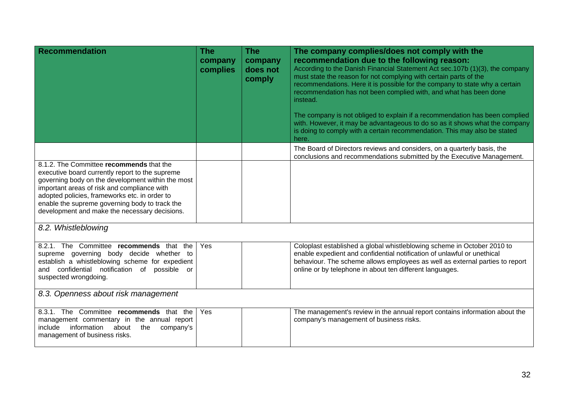| Recommendation                                                                                                                                                                                                                                                                                                                                      | <b>The</b><br>company<br>complies | <b>The</b><br>company<br>does not<br>comply | The company complies/does not comply with the<br>recommendation due to the following reason:<br>According to the Danish Financial Statement Act sec.107b (1)(3), the company<br>must state the reason for not complying with certain parts of the<br>recommendations. Here it is possible for the company to state why a certain<br>recommendation has not been complied with, and what has been done<br>instead.<br>The company is not obliged to explain if a recommendation has been complied<br>with. However, it may be advantageous to do so as it shows what the company<br>is doing to comply with a certain recommendation. This may also be stated<br>here. |
|-----------------------------------------------------------------------------------------------------------------------------------------------------------------------------------------------------------------------------------------------------------------------------------------------------------------------------------------------------|-----------------------------------|---------------------------------------------|-----------------------------------------------------------------------------------------------------------------------------------------------------------------------------------------------------------------------------------------------------------------------------------------------------------------------------------------------------------------------------------------------------------------------------------------------------------------------------------------------------------------------------------------------------------------------------------------------------------------------------------------------------------------------|
|                                                                                                                                                                                                                                                                                                                                                     |                                   |                                             | The Board of Directors reviews and considers, on a quarterly basis, the<br>conclusions and recommendations submitted by the Executive Management.                                                                                                                                                                                                                                                                                                                                                                                                                                                                                                                     |
| 8.1.2. The Committee recommends that the<br>executive board currently report to the supreme<br>governing body on the development within the most<br>important areas of risk and compliance with<br>adopted policies, frameworks etc. in order to<br>enable the supreme governing body to track the<br>development and make the necessary decisions. |                                   |                                             |                                                                                                                                                                                                                                                                                                                                                                                                                                                                                                                                                                                                                                                                       |
| 8.2. Whistleblowing                                                                                                                                                                                                                                                                                                                                 |                                   |                                             |                                                                                                                                                                                                                                                                                                                                                                                                                                                                                                                                                                                                                                                                       |
| 8.2.1. The Committee recommends that the<br>supreme governing body decide whether to<br>establish a whistleblowing scheme for expedient<br>and confidential notification of possible or<br>suspected wrongdoing.                                                                                                                                    | Yes                               |                                             | Coloplast established a global whistleblowing scheme in October 2010 to<br>enable expedient and confidential notification of unlawful or unethical<br>behaviour. The scheme allows employees as well as external parties to report<br>online or by telephone in about ten different languages.                                                                                                                                                                                                                                                                                                                                                                        |
| 8.3. Openness about risk management                                                                                                                                                                                                                                                                                                                 |                                   |                                             |                                                                                                                                                                                                                                                                                                                                                                                                                                                                                                                                                                                                                                                                       |
| 8.3.1. The Committee recommends that the<br>management commentary in the annual report<br>information about the<br>include<br>company's<br>management of business risks.                                                                                                                                                                            | <b>Yes</b>                        |                                             | The management's review in the annual report contains information about the<br>company's management of business risks.                                                                                                                                                                                                                                                                                                                                                                                                                                                                                                                                                |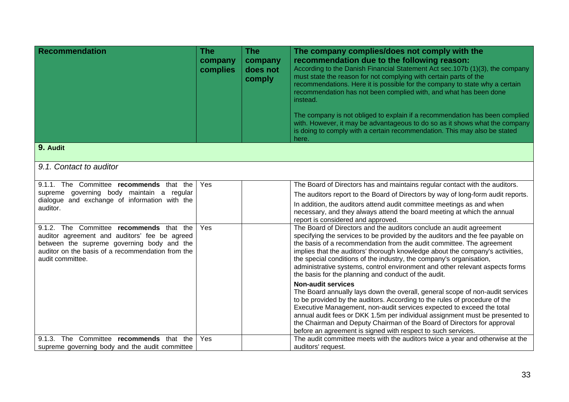| <b>Recommendation</b>                                                                         | The<br>company<br>complies | The<br>company<br>does not<br>comply                                                                                                                                                                                                                                                         | The company complies/does not comply with the<br>recommendation due to the following reason:<br>According to the Danish Financial Statement Act sec.107b (1)(3), the company<br>must state the reason for not complying with certain parts of the<br>recommendations. Here it is possible for the company to state why a certain<br>recommendation has not been complied with, and what has been done<br>instead.<br>The company is not obliged to explain if a recommendation has been complied<br>with. However, it may be advantageous to do so as it shows what the company<br>is doing to comply with a certain recommendation. This may also be stated<br>here. |
|-----------------------------------------------------------------------------------------------|----------------------------|----------------------------------------------------------------------------------------------------------------------------------------------------------------------------------------------------------------------------------------------------------------------------------------------|-----------------------------------------------------------------------------------------------------------------------------------------------------------------------------------------------------------------------------------------------------------------------------------------------------------------------------------------------------------------------------------------------------------------------------------------------------------------------------------------------------------------------------------------------------------------------------------------------------------------------------------------------------------------------|
| 9. Audit                                                                                      |                            |                                                                                                                                                                                                                                                                                              |                                                                                                                                                                                                                                                                                                                                                                                                                                                                                                                                                                                                                                                                       |
| 9.1. Contact to auditor                                                                       |                            |                                                                                                                                                                                                                                                                                              |                                                                                                                                                                                                                                                                                                                                                                                                                                                                                                                                                                                                                                                                       |
| 9.1.1. The Committee recommends that the                                                      | Yes                        |                                                                                                                                                                                                                                                                                              | The Board of Directors has and maintains regular contact with the auditors.                                                                                                                                                                                                                                                                                                                                                                                                                                                                                                                                                                                           |
| supreme governing body maintain a regular<br>dialogue and exchange of information with the    |                            |                                                                                                                                                                                                                                                                                              | The auditors report to the Board of Directors by way of long-form audit reports.                                                                                                                                                                                                                                                                                                                                                                                                                                                                                                                                                                                      |
| auditor.                                                                                      |                            |                                                                                                                                                                                                                                                                                              | In addition, the auditors attend audit committee meetings as and when<br>necessary, and they always attend the board meeting at which the annual<br>report is considered and approved.                                                                                                                                                                                                                                                                                                                                                                                                                                                                                |
| 9.1.2. The Committee recommends that the<br>auditor agreement and auditors' fee be agreed     | Yes                        |                                                                                                                                                                                                                                                                                              | The Board of Directors and the auditors conclude an audit agreement<br>specifying the services to be provided by the auditors and the fee payable on                                                                                                                                                                                                                                                                                                                                                                                                                                                                                                                  |
| between the supreme governing body and the                                                    |                            |                                                                                                                                                                                                                                                                                              | the basis of a recommendation from the audit committee. The agreement                                                                                                                                                                                                                                                                                                                                                                                                                                                                                                                                                                                                 |
| auditor on the basis of a recommendation from the<br>audit committee.                         |                            | implies that the auditors' thorough knowledge about the company's activities,<br>the special conditions of the industry, the company's organisation,<br>administrative systems, control environment and other relevant aspects forms<br>the basis for the planning and conduct of the audit. |                                                                                                                                                                                                                                                                                                                                                                                                                                                                                                                                                                                                                                                                       |
|                                                                                               |                            |                                                                                                                                                                                                                                                                                              | <b>Non-audit services</b>                                                                                                                                                                                                                                                                                                                                                                                                                                                                                                                                                                                                                                             |
|                                                                                               |                            |                                                                                                                                                                                                                                                                                              | The Board annually lays down the overall, general scope of non-audit services<br>to be provided by the auditors. According to the rules of procedure of the<br>Executive Management, non-audit services expected to exceed the total<br>annual audit fees or DKK 1.5m per individual assignment must be presented to<br>the Chairman and Deputy Chairman of the Board of Directors for approval<br>before an agreement is signed with respect to such services.                                                                                                                                                                                                       |
| The Committee recommends that the<br>9.1.3.<br>supreme governing body and the audit committee | Yes                        |                                                                                                                                                                                                                                                                                              | The audit committee meets with the auditors twice a year and otherwise at the<br>auditors' request.                                                                                                                                                                                                                                                                                                                                                                                                                                                                                                                                                                   |
|                                                                                               |                            |                                                                                                                                                                                                                                                                                              |                                                                                                                                                                                                                                                                                                                                                                                                                                                                                                                                                                                                                                                                       |